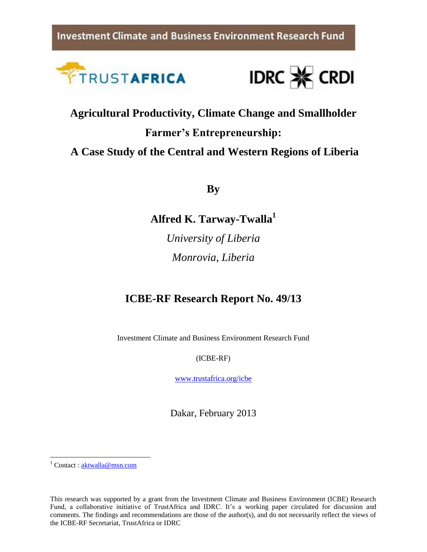**Investment Climate and Business Environment Research Fund** 





**Agricultural Productivity, Climate Change and Smallholder Farmer's Entrepreneurship: A Case Study of the Central and Western Regions of Liberia**

**By**

**Alfred K. Tarway-Twalla<sup>1</sup>**

*University of Liberia Monrovia, Liberia*

# **ICBE-RF Research Report No. 49/13**

Investment Climate and Business Environment Research Fund

(ICBE-RF)

[www.trustafrica.org/icbe](http://www.trustafrica.org/icbe)

Dakar, February 2013

 $1$  Contact [: aktwalla@msn.com](mailto:aktwalla@msn.com)

 $\overline{\phantom{a}}$ 

This research was supported by a grant from the Investment Climate and Business Environment (ICBE) Research Fund, a collaborative initiative of TrustAfrica and IDRC. It's a working paper circulated for discussion and comments. The findings and recommendations are those of the author(s), and do not necessarily reflect the views of the ICBE-RF Secretariat, TrustAfrica or IDRC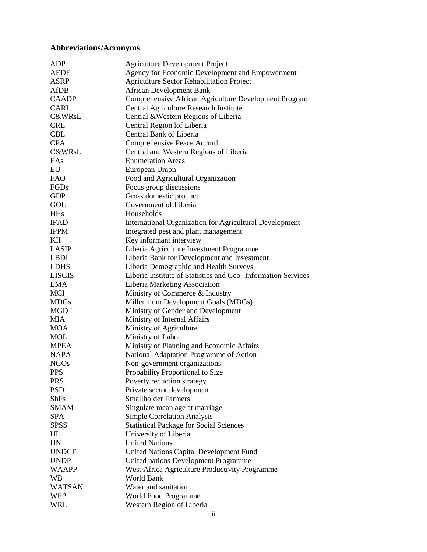# <span id="page-1-0"></span>**Abbreviations/Acronyms**

| ADP           | <b>Agriculture Development Project</b>                       |
|---------------|--------------------------------------------------------------|
| <b>AEDE</b>   | Agency for Economic Development and Empowerment              |
| <b>ASRP</b>   | <b>Agriculture Sector Rehabilitation Project</b>             |
| AfDB          | <b>African Development Bank</b>                              |
| <b>CAADP</b>  | Comprehensive African Agriculture Development Program        |
| <b>CARI</b>   | Central Agriculture Research Institute                       |
| C&WRsL        | Central & Western Regions of Liberia                         |
| <b>CRL</b>    | Central Region lof Liberia                                   |
| <b>CBL</b>    | Central Bank of Liberia                                      |
| <b>CPA</b>    | Comprehensive Peace Accord                                   |
| C&WRsL        | Central and Western Regions of Liberia                       |
| EAs           | <b>Enumeration Areas</b>                                     |
| EU            | European Union                                               |
| <b>FAO</b>    | Food and Agricultural Organization                           |
| FGDs          | Focus group discussions                                      |
| <b>GDP</b>    | Gross domestic product                                       |
| GOL           | Government of Liberia                                        |
| <b>HHs</b>    | Households                                                   |
|               |                                                              |
| <b>IFAD</b>   | International Organization for Agricultural Development      |
| <b>IPPM</b>   | Integrated pest and plant management                         |
| KП            | Key informant interview                                      |
| <b>LASIP</b>  | Liberia Agriculture Investment Programme                     |
| <b>LBDI</b>   | Liberia Bank for Development and Investment                  |
| <b>LDHS</b>   | Liberia Demographic and Health Surveys                       |
| <b>LISGIS</b> | Liberia Institute of Statistics and Geo-Information Services |
| <b>LMA</b>    | Liberia Marketing Association                                |
| <b>MCI</b>    | Ministry of Commerce & Industry                              |
| <b>MDGs</b>   | Millennium Development Goals (MDGs)                          |
| <b>MGD</b>    | Ministry of Gender and Development                           |
| <b>MIA</b>    | Ministry of Internal Affairs                                 |
| <b>MOA</b>    | Ministry of Agriculture                                      |
| <b>MOL</b>    | Ministry of Labor                                            |
| <b>MPEA</b>   | Ministry of Planning and Economic Affairs                    |
| <b>NAPA</b>   | National Adaptation Programme of Action                      |
| <b>NGOs</b>   | Non-government organizations                                 |
| <b>PPS</b>    | Probability Proportional to Size                             |
| <b>PRS</b>    | Poverty reduction strategy                                   |
| <b>PSD</b>    | Private sector development                                   |
| <b>ShFs</b>   | <b>Smallholder Farmers</b>                                   |
| <b>SMAM</b>   | Singulate mean age at marriage                               |
| <b>SPA</b>    | <b>Simple Correlation Analysis</b>                           |
| <b>SPSS</b>   | <b>Statistical Package for Social Sciences</b>               |
| UL            | University of Liberia                                        |
| <b>UN</b>     | <b>United Nations</b>                                        |
| <b>UNDCF</b>  | United Nations Capital Development Fund                      |
| <b>UNDP</b>   | United nations Development Programme                         |
| <b>WAAPP</b>  | West Africa Agriculture Productivity Programme               |
| <b>WB</b>     | World Bank                                                   |
| <b>WATSAN</b> | Water and sanitation                                         |
| <b>WFP</b>    | World Food Programme                                         |
| WRL           |                                                              |
|               | Western Region of Liberia                                    |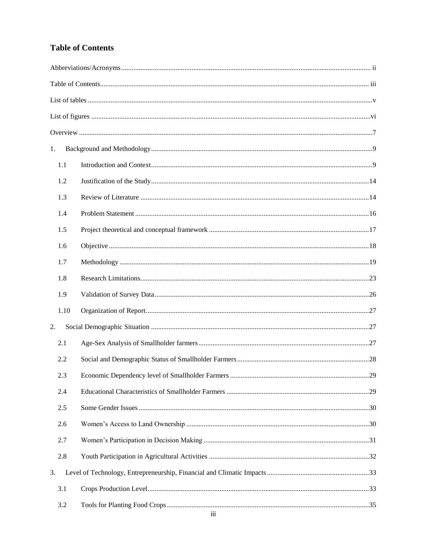# <span id="page-2-0"></span>**Table of Contents**

| 1.   |  |
|------|--|
| 1.1  |  |
| 1.2  |  |
| 1.3  |  |
| 1.4  |  |
| 1.5  |  |
| 1.6  |  |
| 1.7  |  |
| 1.8  |  |
| 1.9  |  |
| 1.10 |  |
| 2.   |  |
| 2.1  |  |
| 2.2  |  |
| 2.3  |  |
| 2.4  |  |
| 2.5  |  |
| 2.6  |  |
| 2.7  |  |
| 2.8  |  |
| 3.   |  |
| 3.1  |  |
| 3.2  |  |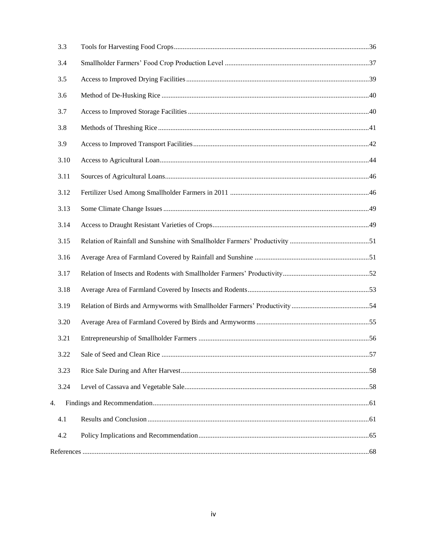| 3.3  |  |
|------|--|
| 3.4  |  |
| 3.5  |  |
| 3.6  |  |
| 3.7  |  |
| 3.8  |  |
| 3.9  |  |
| 3.10 |  |
| 3.11 |  |
| 3.12 |  |
| 3.13 |  |
| 3.14 |  |
| 3.15 |  |
| 3.16 |  |
| 3.17 |  |
| 3.18 |  |
| 3.19 |  |
| 3.20 |  |
| 3.21 |  |
| 3.22 |  |
| 3.23 |  |
| 3.24 |  |
| 4.   |  |
| 4.1  |  |
| 4.2  |  |
|      |  |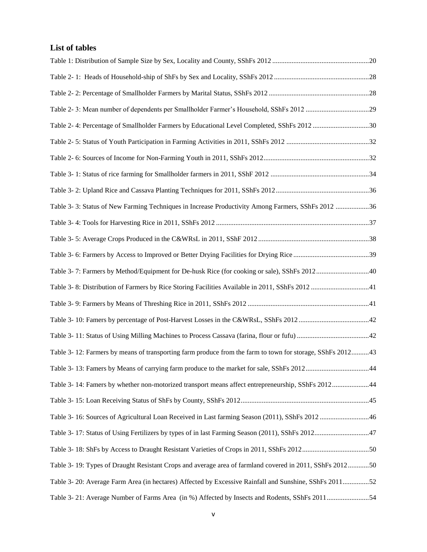# <span id="page-4-0"></span>**List of tables**

| Table 2-3: Mean number of dependents per Smallholder Farmer's Household, SShFs 2012 29                    |  |
|-----------------------------------------------------------------------------------------------------------|--|
| Table 2-4: Percentage of Smallholder Farmers by Educational Level Completed, SShFs 2012 30                |  |
|                                                                                                           |  |
|                                                                                                           |  |
|                                                                                                           |  |
|                                                                                                           |  |
| Table 3- 3: Status of New Farming Techniques in Increase Productivity Among Farmers, SShFs 2012 36        |  |
|                                                                                                           |  |
|                                                                                                           |  |
|                                                                                                           |  |
|                                                                                                           |  |
| Table 3- 8: Distribution of Farmers by Rice Storing Facilities Available in 2011, SShFs 2012  41          |  |
|                                                                                                           |  |
|                                                                                                           |  |
|                                                                                                           |  |
| Table 3-12: Farmers by means of transporting farm produce from the farm to town for storage, SShFs 201243 |  |
|                                                                                                           |  |
| Table 3-14: Famers by whether non-motorized transport means affect entrepreneurship, SShFs 201244         |  |
|                                                                                                           |  |
| Table 3-16: Sources of Agricultural Loan Received in Last farming Season (2011), SShFs 2012 46            |  |
|                                                                                                           |  |
|                                                                                                           |  |
| Table 3-19: Types of Draught Resistant Crops and average area of farmland covered in 2011, SShFs 201250   |  |
| Table 3-20: Average Farm Area (in hectares) Affected by Excessive Rainfall and Sunshine, SShFs 201152     |  |
| Table 3-21: Average Number of Farms Area (in %) Affected by Insects and Rodents, SShFs 201154             |  |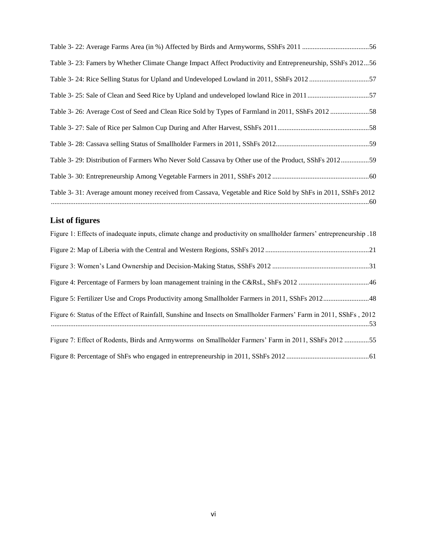| Table 3-23: Famers by Whether Climate Change Impact Affect Productivity and Entrepreneurship, SShFs 201256  |  |
|-------------------------------------------------------------------------------------------------------------|--|
| Table 3- 24: Rice Selling Status for Upland and Undeveloped Lowland in 2011, SShFs 201257                   |  |
| Table 3-25: Sale of Clean and Seed Rice by Upland and undeveloped lowland Rice in 2011 57                   |  |
| Table 3-26: Average Cost of Seed and Clean Rice Sold by Types of Farmland in 2011, SShFs 2012 58            |  |
|                                                                                                             |  |
|                                                                                                             |  |
| Table 3-29: Distribution of Farmers Who Never Sold Cassava by Other use of the Product, SShFs 201259        |  |
|                                                                                                             |  |
| Table 3-31: Average amount money received from Cassava, Vegetable and Rice Sold by ShFs in 2011, SShFs 2012 |  |

# <span id="page-5-0"></span>**List of figures**

| Figure 1: Effects of inadequate inputs, climate change and productivity on smallholder farmers' entrepreneurship .18 |
|----------------------------------------------------------------------------------------------------------------------|
|                                                                                                                      |
|                                                                                                                      |
|                                                                                                                      |
| Figure 5: Fertilizer Use and Crops Productivity among Smallholder Farmers in 2011, SShFs 201248                      |
| Figure 6: Status of the Effect of Rainfall, Sunshine and Insects on Smallholder Farmers' Farm in 2011, SShFs, 2012   |
| Figure 7: Effect of Rodents, Birds and Armyworms on Smallholder Farmers' Farm in 2011, SShFs 2012 55                 |
|                                                                                                                      |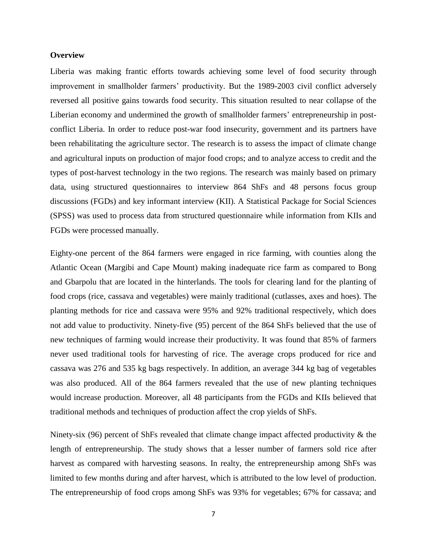## <span id="page-6-0"></span>**Overview**

Liberia was making frantic efforts towards achieving some level of food security through improvement in smallholder farmers' productivity. But the 1989-2003 civil conflict adversely reversed all positive gains towards food security. This situation resulted to near collapse of the Liberian economy and undermined the growth of smallholder farmers' entrepreneurship in postconflict Liberia. In order to reduce post-war food insecurity, government and its partners have been rehabilitating the agriculture sector. The research is to assess the impact of climate change and agricultural inputs on production of major food crops; and to analyze access to credit and the types of post-harvest technology in the two regions. The research was mainly based on primary data, using structured questionnaires to interview 864 ShFs and 48 persons focus group discussions (FGDs) and key informant interview (KII). A Statistical Package for Social Sciences (SPSS) was used to process data from structured questionnaire while information from KIIs and FGDs were processed manually.

Eighty-one percent of the 864 farmers were engaged in rice farming, with counties along the Atlantic Ocean (Margibi and Cape Mount) making inadequate rice farm as compared to Bong and Gbarpolu that are located in the hinterlands. The tools for clearing land for the planting of food crops (rice, cassava and vegetables) were mainly traditional (cutlasses, axes and hoes). The planting methods for rice and cassava were 95% and 92% traditional respectively, which does not add value to productivity. Ninety-five (95) percent of the 864 ShFs believed that the use of new techniques of farming would increase their productivity. It was found that 85% of farmers never used traditional tools for harvesting of rice. The average crops produced for rice and cassava was 276 and 535 kg bags respectively. In addition, an average 344 kg bag of vegetables was also produced. All of the 864 farmers revealed that the use of new planting techniques would increase production. Moreover, all 48 participants from the FGDs and KIIs believed that traditional methods and techniques of production affect the crop yields of ShFs.

Ninety-six (96) percent of ShFs revealed that climate change impact affected productivity & the length of entrepreneurship. The study shows that a lesser number of farmers sold rice after harvest as compared with harvesting seasons. In realty, the entrepreneurship among ShFs was limited to few months during and after harvest, which is attributed to the low level of production. The entrepreneurship of food crops among ShFs was 93% for vegetables; 67% for cassava; and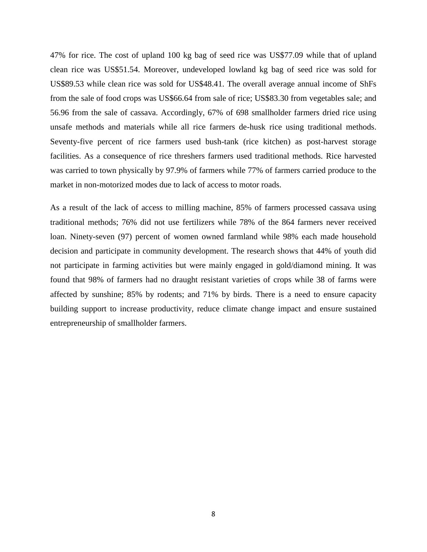47% for rice. The cost of upland 100 kg bag of seed rice was US\$77.09 while that of upland clean rice was US\$51.54. Moreover, undeveloped lowland kg bag of seed rice was sold for US\$89.53 while clean rice was sold for US\$48.41. The overall average annual income of ShFs from the sale of food crops was US\$66.64 from sale of rice; US\$83.30 from vegetables sale; and 56.96 from the sale of cassava. Accordingly, 67% of 698 smallholder farmers dried rice using unsafe methods and materials while all rice farmers de-husk rice using traditional methods. Seventy-five percent of rice farmers used bush-tank (rice kitchen) as post-harvest storage facilities. As a consequence of rice threshers farmers used traditional methods. Rice harvested was carried to town physically by 97.9% of farmers while 77% of farmers carried produce to the market in non-motorized modes due to lack of access to motor roads.

As a result of the lack of access to milling machine, 85% of farmers processed cassava using traditional methods; 76% did not use fertilizers while 78% of the 864 farmers never received loan. Ninety-seven (97) percent of women owned farmland while 98% each made household decision and participate in community development. The research shows that 44% of youth did not participate in farming activities but were mainly engaged in gold/diamond mining. It was found that 98% of farmers had no draught resistant varieties of crops while 38 of farms were affected by sunshine; 85% by rodents; and 71% by birds. There is a need to ensure capacity building support to increase productivity, reduce climate change impact and ensure sustained entrepreneurship of smallholder farmers.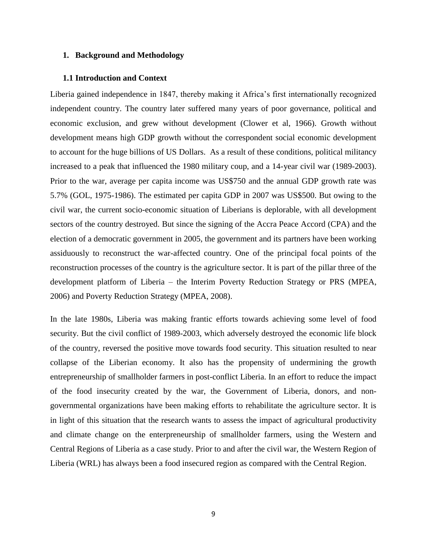#### <span id="page-8-0"></span>**1. Background and Methodology**

#### <span id="page-8-1"></span>**1.1 Introduction and Context**

Liberia gained independence in 1847, thereby making it Africa's first internationally recognized independent country. The country later suffered many years of poor governance, political and economic exclusion, and grew without development (Clower et al, 1966). Growth without development means high GDP growth without the correspondent social economic development to account for the huge billions of US Dollars. As a result of these conditions, political militancy increased to a peak that influenced the 1980 military coup, and a 14-year civil war (1989-2003). Prior to the war, average per capita income was US\$750 and the annual GDP growth rate was 5.7% (GOL, 1975-1986). The estimated per capita GDP in 2007 was US\$500. But owing to the civil war, the current socio-economic situation of Liberians is deplorable, with all development sectors of the country destroyed. But since the signing of the Accra Peace Accord (CPA) and the election of a democratic government in 2005, the government and its partners have been working assiduously to reconstruct the war-affected country. One of the principal focal points of the reconstruction processes of the country is the agriculture sector. It is part of the pillar three of the development platform of Liberia – the Interim Poverty Reduction Strategy or PRS (MPEA, 2006) and Poverty Reduction Strategy (MPEA, 2008).

In the late 1980s, Liberia was making frantic efforts towards achieving some level of food security. But the civil conflict of 1989-2003, which adversely destroyed the economic life block of the country, reversed the positive move towards food security. This situation resulted to near collapse of the Liberian economy. It also has the propensity of undermining the growth entrepreneurship of smallholder farmers in post-conflict Liberia. In an effort to reduce the impact of the food insecurity created by the war, the Government of Liberia, donors, and nongovernmental organizations have been making efforts to rehabilitate the agriculture sector. It is in light of this situation that the research wants to assess the impact of agricultural productivity and climate change on the enterpreneurship of smallholder farmers, using the Western and Central Regions of Liberia as a case study. Prior to and after the civil war, the Western Region of Liberia (WRL) has always been a food insecured region as compared with the Central Region.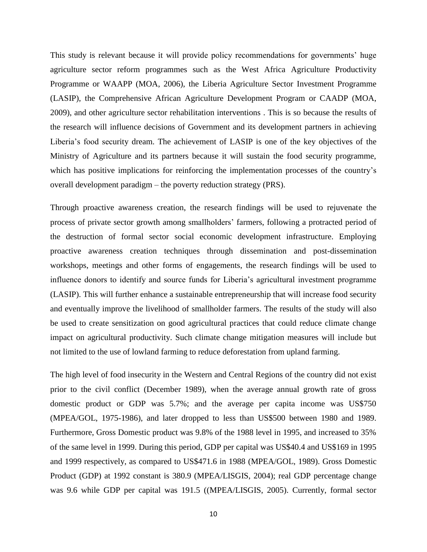This study is relevant because it will provide policy recommendations for governments' huge agriculture sector reform programmes such as the West Africa Agriculture Productivity Programme or WAAPP (MOA, 2006), the Liberia Agriculture Sector Investment Programme (LASIP), the Comprehensive African Agriculture Development Program or CAADP (MOA, 2009), and other agriculture sector rehabilitation interventions . This is so because the results of the research will influence decisions of Government and its development partners in achieving Liberia's food security dream. The achievement of LASIP is one of the key objectives of the Ministry of Agriculture and its partners because it will sustain the food security programme, which has positive implications for reinforcing the implementation processes of the country's overall development paradigm – the poverty reduction strategy (PRS).

Through proactive awareness creation, the research findings will be used to rejuvenate the process of private sector growth among smallholders' farmers, following a protracted period of the destruction of formal sector social economic development infrastructure. Employing proactive awareness creation techniques through dissemination and post-dissemination workshops, meetings and other forms of engagements, the research findings will be used to influence donors to identify and source funds for Liberia's agricultural investment programme (LASIP). This will further enhance a sustainable entrepreneurship that will increase food security and eventually improve the livelihood of smallholder farmers. The results of the study will also be used to create sensitization on good agricultural practices that could reduce climate change impact on agricultural productivity. Such climate change mitigation measures will include but not limited to the use of lowland farming to reduce deforestation from upland farming.

The high level of food insecurity in the Western and Central Regions of the country did not exist prior to the civil conflict (December 1989), when the average annual growth rate of gross domestic product or GDP was 5.7%; and the average per capita income was US\$750 (MPEA/GOL, 1975-1986), and later dropped to less than US\$500 between 1980 and 1989. Furthermore, Gross Domestic product was 9.8% of the 1988 level in 1995, and increased to 35% of the same level in 1999. During this period, GDP per capital was US\$40.4 and US\$169 in 1995 and 1999 respectively, as compared to US\$471.6 in 1988 (MPEA/GOL, 1989). Gross Domestic Product (GDP) at 1992 constant is 380.9 (MPEA/LISGIS, 2004); real GDP percentage change was 9.6 while GDP per capital was 191.5 ((MPEA/LISGIS, 2005). Currently, formal sector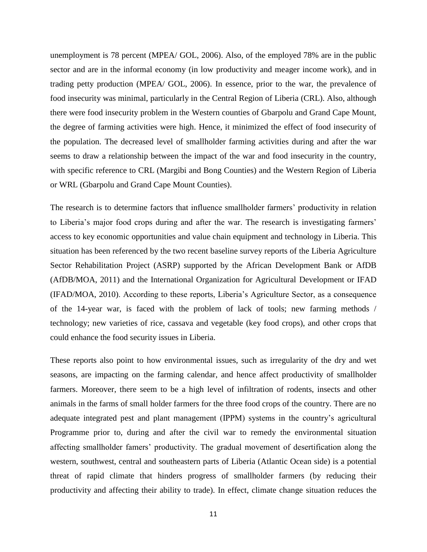unemployment is 78 percent (MPEA/ GOL, 2006). Also, of the employed 78% are in the public sector and are in the informal economy (in low productivity and meager income work), and in trading petty production (MPEA/ GOL, 2006). In essence, prior to the war, the prevalence of food insecurity was minimal, particularly in the Central Region of Liberia (CRL). Also, although there were food insecurity problem in the Western counties of Gbarpolu and Grand Cape Mount, the degree of farming activities were high. Hence, it minimized the effect of food insecurity of the population. The decreased level of smallholder farming activities during and after the war seems to draw a relationship between the impact of the war and food insecurity in the country, with specific reference to CRL (Margibi and Bong Counties) and the Western Region of Liberia or WRL (Gbarpolu and Grand Cape Mount Counties).

The research is to determine factors that influence smallholder farmers' productivity in relation to Liberia's major food crops during and after the war. The research is investigating farmers' access to key economic opportunities and value chain equipment and technology in Liberia. This situation has been referenced by the two recent baseline survey reports of the Liberia Agriculture Sector Rehabilitation Project (ASRP) supported by the African Development Bank or AfDB (AfDB/MOA, 2011) and the International Organization for Agricultural Development or IFAD (IFAD/MOA, 2010). According to these reports, Liberia's Agriculture Sector, as a consequence of the 14-year war, is faced with the problem of lack of tools; new farming methods / technology; new varieties of rice, cassava and vegetable (key food crops), and other crops that could enhance the food security issues in Liberia.

These reports also point to how environmental issues, such as irregularity of the dry and wet seasons, are impacting on the farming calendar, and hence affect productivity of smallholder farmers. Moreover, there seem to be a high level of infiltration of rodents, insects and other animals in the farms of small holder farmers for the three food crops of the country. There are no adequate integrated pest and plant management (IPPM) systems in the country's agricultural Programme prior to, during and after the civil war to remedy the environmental situation affecting smallholder famers' productivity. The gradual movement of desertification along the western, southwest, central and southeastern parts of Liberia (Atlantic Ocean side) is a potential threat of rapid climate that hinders progress of smallholder farmers (by reducing their productivity and affecting their ability to trade). In effect, climate change situation reduces the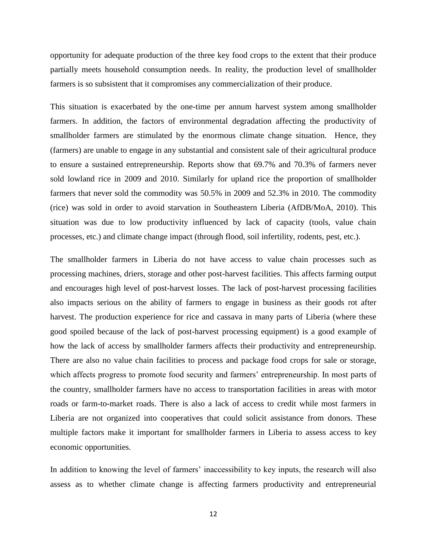opportunity for adequate production of the three key food crops to the extent that their produce partially meets household consumption needs. In reality, the production level of smallholder farmers is so subsistent that it compromises any commercialization of their produce.

This situation is exacerbated by the one-time per annum harvest system among smallholder farmers. In addition, the factors of environmental degradation affecting the productivity of smallholder farmers are stimulated by the enormous climate change situation. Hence, they (farmers) are unable to engage in any substantial and consistent sale of their agricultural produce to ensure a sustained entrepreneurship. Reports show that 69.7% and 70.3% of farmers never sold lowland rice in 2009 and 2010. Similarly for upland rice the proportion of smallholder farmers that never sold the commodity was 50.5% in 2009 and 52.3% in 2010. The commodity (rice) was sold in order to avoid starvation in Southeastern Liberia (AfDB/MoA, 2010). This situation was due to low productivity influenced by lack of capacity (tools, value chain processes, etc.) and climate change impact (through flood, soil infertility, rodents, pest, etc.).

The smallholder farmers in Liberia do not have access to value chain processes such as processing machines, driers, storage and other post-harvest facilities. This affects farming output and encourages high level of post-harvest losses. The lack of post-harvest processing facilities also impacts serious on the ability of farmers to engage in business as their goods rot after harvest. The production experience for rice and cassava in many parts of Liberia (where these good spoiled because of the lack of post-harvest processing equipment) is a good example of how the lack of access by smallholder farmers affects their productivity and entrepreneurship. There are also no value chain facilities to process and package food crops for sale or storage, which affects progress to promote food security and farmers' entrepreneurship. In most parts of the country, smallholder farmers have no access to transportation facilities in areas with motor roads or farm-to-market roads. There is also a lack of access to credit while most farmers in Liberia are not organized into cooperatives that could solicit assistance from donors. These multiple factors make it important for smallholder farmers in Liberia to assess access to key economic opportunities.

In addition to knowing the level of farmers' inaccessibility to key inputs, the research will also assess as to whether climate change is affecting farmers productivity and entrepreneurial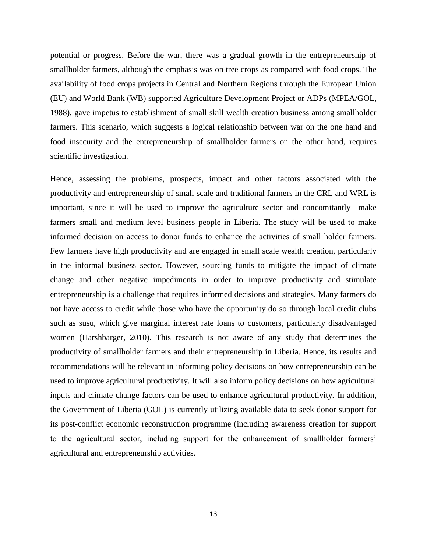potential or progress. Before the war, there was a gradual growth in the entrepreneurship of smallholder farmers, although the emphasis was on tree crops as compared with food crops. The availability of food crops projects in Central and Northern Regions through the European Union (EU) and World Bank (WB) supported Agriculture Development Project or ADPs (MPEA/GOL, 1988), gave impetus to establishment of small skill wealth creation business among smallholder farmers. This scenario, which suggests a logical relationship between war on the one hand and food insecurity and the entrepreneurship of smallholder farmers on the other hand, requires scientific investigation.

Hence, assessing the problems, prospects, impact and other factors associated with the productivity and entrepreneurship of small scale and traditional farmers in the CRL and WRL is important, since it will be used to improve the agriculture sector and concomitantly make farmers small and medium level business people in Liberia. The study will be used to make informed decision on access to donor funds to enhance the activities of small holder farmers. Few farmers have high productivity and are engaged in small scale wealth creation, particularly in the informal business sector. However, sourcing funds to mitigate the impact of climate change and other negative impediments in order to improve productivity and stimulate entrepreneurship is a challenge that requires informed decisions and strategies. Many farmers do not have access to credit while those who have the opportunity do so through local credit clubs such as susu, which give marginal interest rate loans to customers, particularly disadvantaged women (Harshbarger, 2010). This research is not aware of any study that determines the productivity of smallholder farmers and their entrepreneurship in Liberia. Hence, its results and recommendations will be relevant in informing policy decisions on how entrepreneurship can be used to improve agricultural productivity. It will also inform policy decisions on how agricultural inputs and climate change factors can be used to enhance agricultural productivity. In addition, the Government of Liberia (GOL) is currently utilizing available data to seek donor support for its post-conflict economic reconstruction programme (including awareness creation for support to the agricultural sector, including support for the enhancement of smallholder farmers' agricultural and entrepreneurship activities.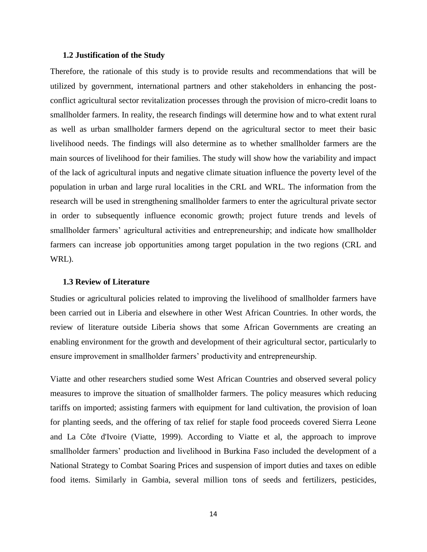## <span id="page-13-0"></span>**1.2 Justification of the Study**

Therefore, the rationale of this study is to provide results and recommendations that will be utilized by government, international partners and other stakeholders in enhancing the postconflict agricultural sector revitalization processes through the provision of micro-credit loans to smallholder farmers. In reality, the research findings will determine how and to what extent rural as well as urban smallholder farmers depend on the agricultural sector to meet their basic livelihood needs. The findings will also determine as to whether smallholder farmers are the main sources of livelihood for their families. The study will show how the variability and impact of the lack of agricultural inputs and negative climate situation influence the poverty level of the population in urban and large rural localities in the CRL and WRL. The information from the research will be used in strengthening smallholder farmers to enter the agricultural private sector in order to subsequently influence economic growth; project future trends and levels of smallholder farmers' agricultural activities and entrepreneurship; and indicate how smallholder farmers can increase job opportunities among target population in the two regions (CRL and WRL).

#### <span id="page-13-1"></span>**1.3 Review of Literature**

Studies or agricultural policies related to improving the livelihood of smallholder farmers have been carried out in Liberia and elsewhere in other West African Countries. In other words, the review of literature outside Liberia shows that some African Governments are creating an enabling environment for the growth and development of their agricultural sector, particularly to ensure improvement in smallholder farmers' productivity and entrepreneurship.

Viatte and other researchers studied some West African Countries and observed several policy measures to improve the situation of smallholder farmers. The policy measures which reducing tariffs on imported; assisting farmers with equipment for land cultivation, the provision of loan for planting seeds, and the offering of tax relief for staple food proceeds covered Sierra Leone and La Côte d'Ivoire (Viatte, 1999). According to Viatte et al, the approach to improve smallholder farmers' production and livelihood in Burkina Faso included the development of a National Strategy to Combat Soaring Prices and suspension of import duties and taxes on edible food items. Similarly in Gambia, several million tons of seeds and fertilizers, pesticides,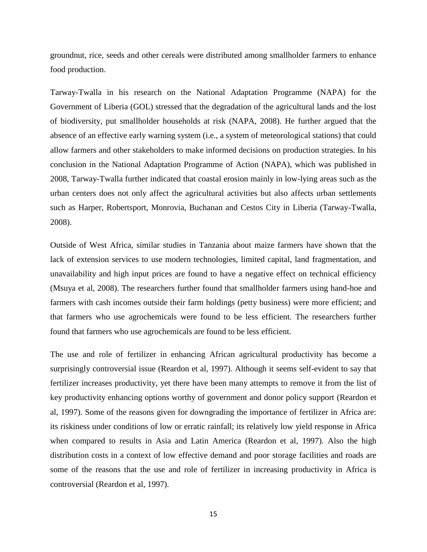groundnut, rice, seeds and other cereals were distributed among smallholder farmers to enhance food production.

Tarway-Twalla in his research on the National Adaptation Programme (NAPA) for the Government of Liberia (GOL) stressed that the degradation of the agricultural lands and the lost of biodiversity, put smallholder households at risk (NAPA, 2008). He further argued that the absence of an effective early warning system (i.e., a system of meteorological stations) that could allow farmers and other stakeholders to make informed decisions on production strategies. In his conclusion in the National Adaptation Programme of Action (NAPA), which was published in 2008, Tarway-Twalla further indicated that coastal erosion mainly in low-lying areas such as the urban centers does not only affect the agricultural activities but also affects urban settlements such as Harper, Robertsport, Monrovia, Buchanan and Cestos City in Liberia (Tarway-Twalla, 2008).

Outside of West Africa, similar studies in Tanzania about maize farmers have shown that the lack of extension services to use modern technologies, limited capital, land fragmentation, and unavailability and high input prices are found to have a negative effect on technical efficiency (Msuya et al, 2008). The researchers further found that smallholder farmers using hand-hoe and farmers with cash incomes outside their farm holdings (petty business) were more efficient; and that farmers who use agrochemicals were found to be less efficient. The researchers further found that farmers who use agrochemicals are found to be less efficient.

The use and role of fertilizer in enhancing African agricultural productivity has become a surprisingly controversial issue (Reardon et al, 1997). Although it seems self-evident to say that fertilizer increases productivity, yet there have been many attempts to remove it from the list of key productivity enhancing options worthy of government and donor policy support (Reardon et al, 1997). Some of the reasons given for downgrading the importance of fertilizer in Africa are: its riskiness under conditions of low or erratic rainfall; its relatively low yield response in Africa when compared to results in Asia and Latin America (Reardon et al, 1997). Also the high distribution costs in a context of low effective demand and poor storage facilities and roads are some of the reasons that the use and role of fertilizer in increasing productivity in Africa is controversial (Reardon et al, 1997).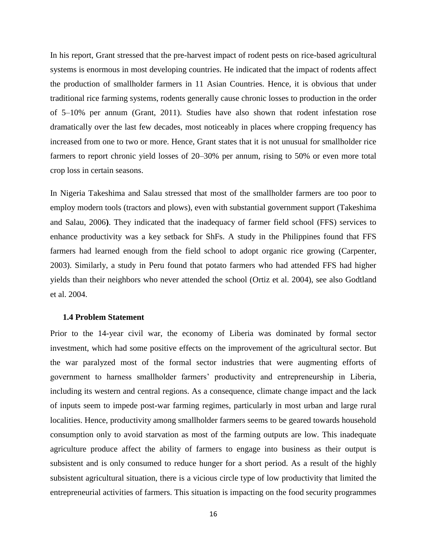In his report, Grant stressed that the pre-harvest impact of rodent pests on rice-based agricultural systems is enormous in most developing countries. He indicated that the impact of rodents affect the production of smallholder farmers in 11 Asian Countries. Hence, it is obvious that under traditional rice farming systems, rodents generally cause chronic losses to production in the order of 5–10% per annum (Grant, 2011). Studies have also shown that rodent infestation rose dramatically over the last few decades, most noticeably in places where cropping frequency has increased from one to two or more. Hence, Grant states that it is not unusual for smallholder rice farmers to report chronic yield losses of 20–30% per annum, rising to 50% or even more total crop loss in certain seasons.

In Nigeria Takeshima and Salau stressed that most of the smallholder farmers are too poor to employ modern tools (tractors and plows), even with substantial government support (Takeshima and Salau, 2006**)**. They indicated that the inadequacy of farmer field school (FFS) services to enhance productivity was a key setback for ShFs. A study in the Philippines found that FFS farmers had learned enough from the field school to adopt organic rice growing (Carpenter, 2003). Similarly, a study in Peru found that potato farmers who had attended FFS had higher yields than their neighbors who never attended the school (Ortiz et al. 2004), see also Godtland et al. 2004.

#### <span id="page-15-0"></span>**1.4 Problem Statement**

Prior to the 14-year civil war, the economy of Liberia was dominated by formal sector investment, which had some positive effects on the improvement of the agricultural sector. But the war paralyzed most of the formal sector industries that were augmenting efforts of government to harness smallholder farmers' productivity and entrepreneurship in Liberia, including its western and central regions. As a consequence, climate change impact and the lack of inputs seem to impede post-war farming regimes, particularly in most urban and large rural localities. Hence, productivity among smallholder farmers seems to be geared towards household consumption only to avoid starvation as most of the farming outputs are low. This inadequate agriculture produce affect the ability of farmers to engage into business as their output is subsistent and is only consumed to reduce hunger for a short period. As a result of the highly subsistent agricultural situation, there is a vicious circle type of low productivity that limited the entrepreneurial activities of farmers. This situation is impacting on the food security programmes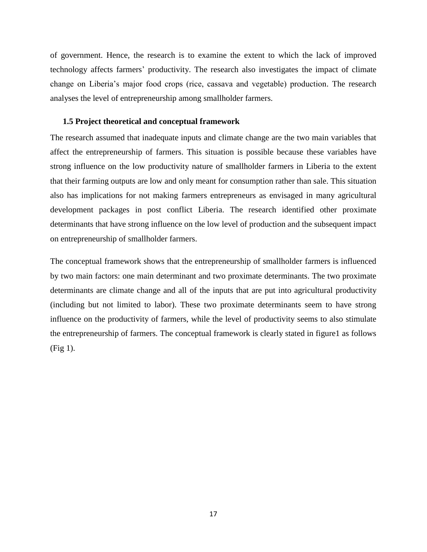of government. Hence, the research is to examine the extent to which the lack of improved technology affects farmers' productivity. The research also investigates the impact of climate change on Liberia's major food crops (rice, cassava and vegetable) production. The research analyses the level of entrepreneurship among smallholder farmers.

## <span id="page-16-0"></span>**1.5 Project theoretical and conceptual framework**

The research assumed that inadequate inputs and climate change are the two main variables that affect the entrepreneurship of farmers. This situation is possible because these variables have strong influence on the low productivity nature of smallholder farmers in Liberia to the extent that their farming outputs are low and only meant for consumption rather than sale. This situation also has implications for not making farmers entrepreneurs as envisaged in many agricultural development packages in post conflict Liberia. The research identified other proximate determinants that have strong influence on the low level of production and the subsequent impact on entrepreneurship of smallholder farmers.

<span id="page-16-1"></span>The conceptual framework shows that the entrepreneurship of smallholder farmers is influenced by two main factors: one main determinant and two proximate determinants. The two proximate determinants are climate change and all of the inputs that are put into agricultural productivity (including but not limited to labor). These two proximate determinants seem to have strong influence on the productivity of farmers, while the level of productivity seems to also stimulate the entrepreneurship of farmers. The conceptual framework is clearly stated in figure1 as follows (Fig 1).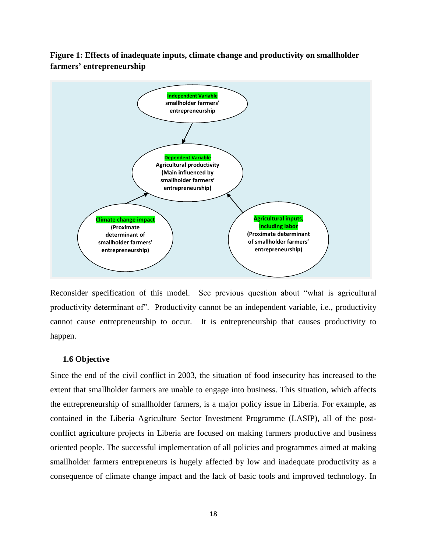**Figure 1: Effects of inadequate inputs, climate change and productivity on smallholder farmers' entrepreneurship**



Reconsider specification of this model. See previous question about "what is agricultural productivity determinant of". Productivity cannot be an independent variable, i.e., productivity cannot cause entrepreneurship to occur. It is entrepreneurship that causes productivity to happen.

## <span id="page-17-0"></span>**1.6 Objective**

Since the end of the civil conflict in 2003, the situation of food insecurity has increased to the extent that smallholder farmers are unable to engage into business. This situation, which affects the entrepreneurship of smallholder farmers, is a major policy issue in Liberia. For example, as contained in the Liberia Agriculture Sector Investment Programme (LASIP), all of the postconflict agriculture projects in Liberia are focused on making farmers productive and business oriented people. The successful implementation of all policies and programmes aimed at making smallholder farmers entrepreneurs is hugely affected by low and inadequate productivity as a consequence of climate change impact and the lack of basic tools and improved technology. In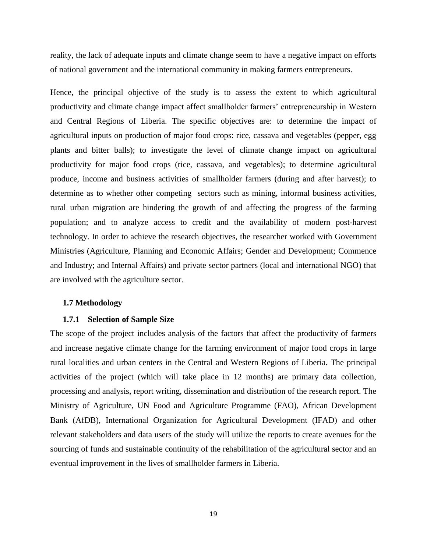reality, the lack of adequate inputs and climate change seem to have a negative impact on efforts of national government and the international community in making farmers entrepreneurs.

Hence, the principal objective of the study is to assess the extent to which agricultural productivity and climate change impact affect smallholder farmers' entrepreneurship in Western and Central Regions of Liberia. The specific objectives are: to determine the impact of agricultural inputs on production of major food crops: rice, cassava and vegetables (pepper, egg plants and bitter balls); to investigate the level of climate change impact on agricultural productivity for major food crops (rice, cassava, and vegetables); to determine agricultural produce, income and business activities of smallholder farmers (during and after harvest); to determine as to whether other competing sectors such as mining, informal business activities, rural–urban migration are hindering the growth of and affecting the progress of the farming population; and to analyze access to credit and the availability of modern post-harvest technology. In order to achieve the research objectives, the researcher worked with Government Ministries (Agriculture, Planning and Economic Affairs; Gender and Development; Commence and Industry; and Internal Affairs) and private sector partners (local and international NGO) that are involved with the agriculture sector.

## <span id="page-18-0"></span>**1.7 Methodology**

#### **1.7.1 Selection of Sample Size**

The scope of the project includes analysis of the factors that affect the productivity of farmers and increase negative climate change for the farming environment of major food crops in large rural localities and urban centers in the Central and Western Regions of Liberia. The principal activities of the project (which will take place in 12 months) are primary data collection, processing and analysis, report writing, dissemination and distribution of the research report. The Ministry of Agriculture, UN Food and Agriculture Programme (FAO), African Development Bank (AfDB), International Organization for Agricultural Development (IFAD) and other relevant stakeholders and data users of the study will utilize the reports to create avenues for the sourcing of funds and sustainable continuity of the rehabilitation of the agricultural sector and an eventual improvement in the lives of smallholder farmers in Liberia.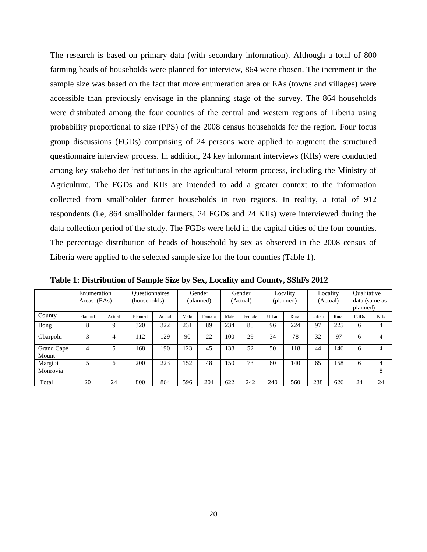The research is based on primary data (with secondary information). Although a total of 800 farming heads of households were planned for interview, 864 were chosen. The increment in the sample size was based on the fact that more enumeration area or EAs (towns and villages) were accessible than previously envisage in the planning stage of the survey. The 864 households were distributed among the four counties of the central and western regions of Liberia using probability proportional to size (PPS) of the 2008 census households for the region. Four focus group discussions (FGDs) comprising of 24 persons were applied to augment the structured questionnaire interview process. In addition, 24 key informant interviews (KIIs) were conducted among key stakeholder institutions in the agricultural reform process, including the Ministry of Agriculture. The FGDs and KIIs are intended to add a greater context to the information collected from smallholder farmer households in two regions. In reality, a total of 912 respondents (i.e, 864 smallholder farmers, 24 FGDs and 24 KIIs) were interviewed during the data collection period of the study. The FGDs were held in the capital cities of the four counties. The percentage distribution of heads of household by sex as observed in the 2008 census of Liberia were applied to the selected sample size for the four counties (Table 1).

<span id="page-19-1"></span>

|                     | Enumeration<br>Areas (EAs) |        | <b>Ouestionnaires</b><br>(households) |        |      | Gender<br>(planned) |      | Gender<br>(Actual) |       | Locality<br>(planned) |       | Locality<br>(Actual) | <b>Oualitative</b><br>planned) | data (same as |
|---------------------|----------------------------|--------|---------------------------------------|--------|------|---------------------|------|--------------------|-------|-----------------------|-------|----------------------|--------------------------------|---------------|
| County              | Planned                    | Actual | Planned                               | Actual | Male | Female              | Male | Female             | Urban | Rural                 | Urban | Rural                | FGDs                           | <b>KIIs</b>   |
| Bong                | 8                          | Q      | 320                                   | 322    | 231  | 89                  | 234  | 88                 | 96    | 224                   | 97    | 225                  | 6                              | 4             |
| Gbarpolu            | 3                          | 4      | 112                                   | 129    | 90   | 22                  | 100  | 29                 | 34    | 78                    | 32    | 97                   | 6                              | 4             |
| Grand Cape<br>Mount | 4                          | 5      | 168                                   | 190    | 123  | 45                  | 138  | 52                 | 50    | 118                   | 44    | 146                  | 6                              | 4             |
| Margibi             | 5                          | 6      | 200                                   | 223    | 152  | 48                  | 150  | 73                 | 60    | 140                   | 65    | 158                  | 6                              | 4             |
| Monrovia            |                            |        |                                       |        |      |                     |      |                    |       |                       |       |                      |                                | 8             |
| Total               | 20                         | 24     | 800                                   | 864    | 596  | 204                 | 622  | 242                | 240   | 560                   | 238   | 626                  | 24                             | 24            |

<span id="page-19-0"></span>**Table 1: Distribution of Sample Size by Sex, Locality and County, SShFs 2012**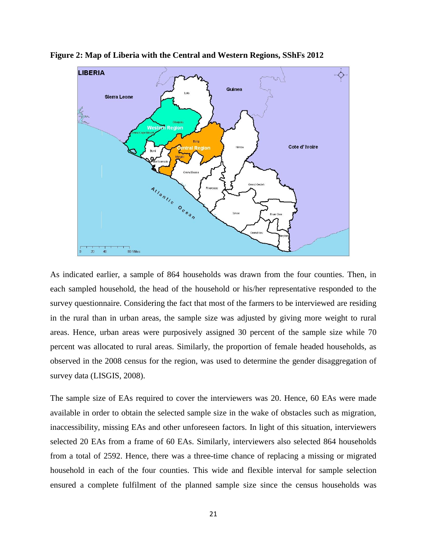

**Figure 2: Map of Liberia with the Central and Western Regions, SShFs 2012**

As indicated earlier, a sample of 864 households was drawn from the four counties. Then, in each sampled household, the head of the household or his/her representative responded to the survey questionnaire. Considering the fact that most of the farmers to be interviewed are residing in the rural than in urban areas, the sample size was adjusted by giving more weight to rural areas. Hence, urban areas were purposively assigned 30 percent of the sample size while 70 percent was allocated to rural areas. Similarly, the proportion of female headed households, as observed in the 2008 census for the region, was used to determine the gender disaggregation of survey data (LISGIS, 2008).

The sample size of EAs required to cover the interviewers was 20. Hence, 60 EAs were made available in order to obtain the selected sample size in the wake of obstacles such as migration, inaccessibility, missing EAs and other unforeseen factors. In light of this situation, interviewers selected 20 EAs from a frame of 60 EAs. Similarly, interviewers also selected 864 households from a total of 2592. Hence, there was a three-time chance of replacing a missing or migrated household in each of the four counties. This wide and flexible interval for sample selection ensured a complete fulfilment of the planned sample size since the census households was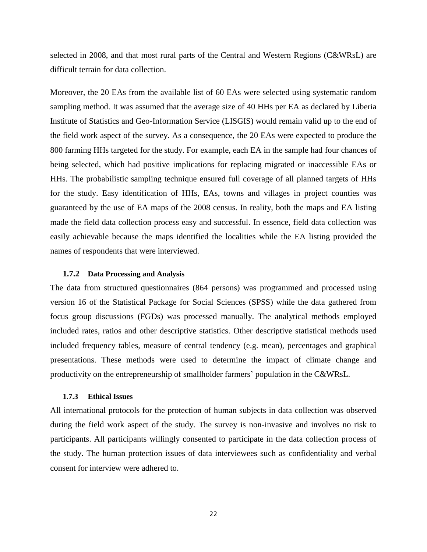selected in 2008, and that most rural parts of the Central and Western Regions (C&WRsL) are difficult terrain for data collection.

Moreover, the 20 EAs from the available list of 60 EAs were selected using systematic random sampling method. It was assumed that the average size of 40 HHs per EA as declared by Liberia Institute of Statistics and Geo-Information Service (LISGIS) would remain valid up to the end of the field work aspect of the survey. As a consequence, the 20 EAs were expected to produce the 800 farming HHs targeted for the study. For example, each EA in the sample had four chances of being selected, which had positive implications for replacing migrated or inaccessible EAs or HHs. The probabilistic sampling technique ensured full coverage of all planned targets of HHs for the study. Easy identification of HHs, EAs, towns and villages in project counties was guaranteed by the use of EA maps of the 2008 census. In reality, both the maps and EA listing made the field data collection process easy and successful. In essence, field data collection was easily achievable because the maps identified the localities while the EA listing provided the names of respondents that were interviewed.

#### **1.7.2 Data Processing and Analysis**

The data from structured questionnaires (864 persons) was programmed and processed using version 16 of the Statistical Package for Social Sciences (SPSS) while the data gathered from focus group discussions (FGDs) was processed manually. The analytical methods employed included rates, ratios and other descriptive statistics. Other descriptive statistical methods used included frequency tables, measure of central tendency (e.g. mean), percentages and graphical presentations. These methods were used to determine the impact of climate change and productivity on the entrepreneurship of smallholder farmers' population in the C&WRsL.

### **1.7.3 Ethical Issues**

All international protocols for the protection of human subjects in data collection was observed during the field work aspect of the study. The survey is non-invasive and involves no risk to participants. All participants willingly consented to participate in the data collection process of the study. The human protection issues of data interviewees such as confidentiality and verbal consent for interview were adhered to.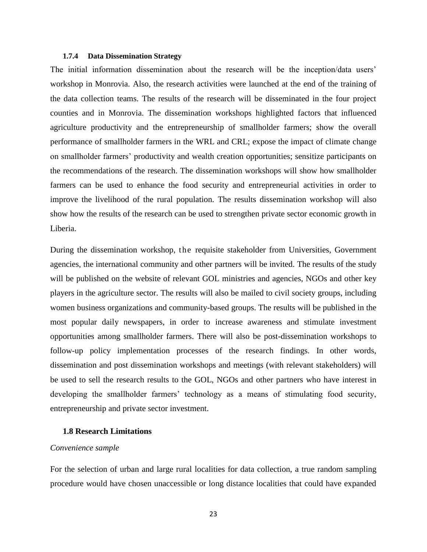#### **1.7.4 Data Dissemination Strategy**

The initial information dissemination about the research will be the inception/data users' workshop in Monrovia. Also, the research activities were launched at the end of the training of the data collection teams. The results of the research will be disseminated in the four project counties and in Monrovia. The dissemination workshops highlighted factors that influenced agriculture productivity and the entrepreneurship of smallholder farmers; show the overall performance of smallholder farmers in the WRL and CRL; expose the impact of climate change on smallholder farmers' productivity and wealth creation opportunities; sensitize participants on the recommendations of the research. The dissemination workshops will show how smallholder farmers can be used to enhance the food security and entrepreneurial activities in order to improve the livelihood of the rural population. The results dissemination workshop will also show how the results of the research can be used to strengthen private sector economic growth in Liberia.

During the dissemination workshop, the requisite stakeholder from Universities, Government agencies, the international community and other partners will be invited. The results of the study will be published on the website of relevant GOL ministries and agencies, NGOs and other key players in the agriculture sector. The results will also be mailed to civil society groups, including women business organizations and community-based groups. The results will be published in the most popular daily newspapers, in order to increase awareness and stimulate investment opportunities among smallholder farmers. There will also be post-dissemination workshops to follow-up policy implementation processes of the research findings. In other words, dissemination and post dissemination workshops and meetings (with relevant stakeholders) will be used to sell the research results to the GOL, NGOs and other partners who have interest in developing the smallholder farmers' technology as a means of stimulating food security, entrepreneurship and private sector investment.

## <span id="page-22-0"></span>**1.8 Research Limitations**

## *Convenience sample*

For the selection of urban and large rural localities for data collection, a true random sampling procedure would have chosen unaccessible or long distance localities that could have expanded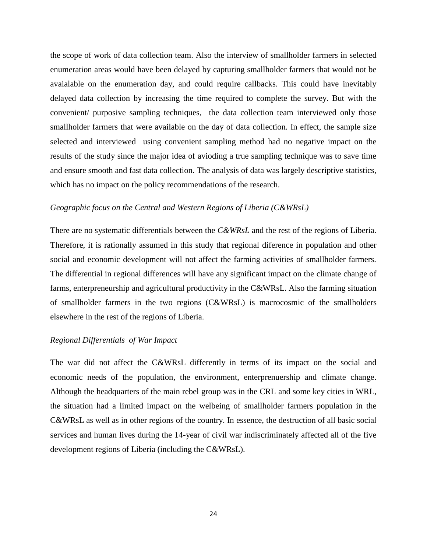the scope of work of data collection team. Also the interview of smallholder farmers in selected enumeration areas would have been delayed by capturing smallholder farmers that would not be avaialable on the enumeration day, and could require callbacks. This could have inevitably delayed data collection by increasing the time required to complete the survey. But with the convenient/ purposive sampling techniques, the data collection team interviewed only those smallholder farmers that were available on the day of data collection. In effect, the sample size selected and interviewed using convenient sampling method had no negative impact on the results of the study since the major idea of avioding a true sampling technique was to save time and ensure smooth and fast data collection. The analysis of data was largely descriptive statistics, which has no impact on the policy recommendations of the research.

## *Geographic focus on the Central and Western Regions of Liberia (C&WRsL)*

There are no systematic differentials between the *C&WRsL* and the rest of the regions of Liberia. Therefore, it is rationally assumed in this study that regional diference in population and other social and economic development will not affect the farming activities of smallholder farmers. The differential in regional differences will have any significant impact on the climate change of farms, enterpreneurship and agricultural productivity in the C&WRsL. Also the farming situation of smallholder farmers in the two regions (C&WRsL) is macrocosmic of the smallholders elsewhere in the rest of the regions of Liberia.

## *Regional Differentials of War Impact*

The war did not affect the C&WRsL differently in terms of its impact on the social and economic needs of the population, the environment, enterprenuership and climate change. Although the headquarters of the main rebel group was in the CRL and some key cities in WRL, the situation had a limited impact on the welbeing of smallholder farmers population in the C&WRsL as well as in other regions of the country. In essence, the destruction of all basic social services and human lives during the 14-year of civil war indiscriminately affected all of the five development regions of Liberia (including the C&WRsL).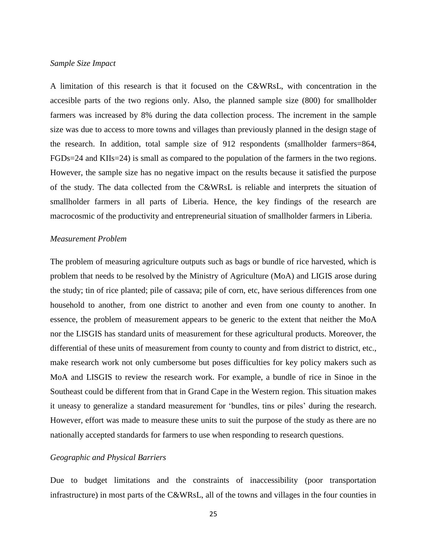#### *Sample Size Impact*

A limitation of this research is that it focused on the C&WRsL, with concentration in the accesible parts of the two regions only. Also, the planned sample size (800) for smallholder farmers was increased by 8% during the data collection process. The increment in the sample size was due to access to more towns and villages than previously planned in the design stage of the research. In addition, total sample size of 912 respondents (smallholder farmers=864, FGDs=24 and KIIs=24) is small as compared to the population of the farmers in the two regions. However, the sample size has no negative impact on the results because it satisfied the purpose of the study. The data collected from the C&WRsL is reliable and interprets the situation of smallholder farmers in all parts of Liberia. Hence, the key findings of the research are macrocosmic of the productivity and entrepreneurial situation of smallholder farmers in Liberia.

## *Measurement Problem*

The problem of measuring agriculture outputs such as bags or bundle of rice harvested, which is problem that needs to be resolved by the Ministry of Agriculture (MoA) and LIGIS arose during the study; tin of rice planted; pile of cassava; pile of corn, etc, have serious differences from one household to another, from one district to another and even from one county to another. In essence, the problem of measurement appears to be generic to the extent that neither the MoA nor the LISGIS has standard units of measurement for these agricultural products. Moreover, the differential of these units of measurement from county to county and from district to district, etc., make research work not only cumbersome but poses difficulties for key policy makers such as MoA and LISGIS to review the research work. For example, a bundle of rice in Sinoe in the Southeast could be different from that in Grand Cape in the Western region. This situation makes it uneasy to generalize a standard measurement for 'bundles, tins or piles' during the research. However, effort was made to measure these units to suit the purpose of the study as there are no nationally accepted standards for farmers to use when responding to research questions.

## *Geographic and Physical Barriers*

Due to budget limitations and the constraints of inaccessibility (poor transportation infrastructure) in most parts of the C&WRsL, all of the towns and villages in the four counties in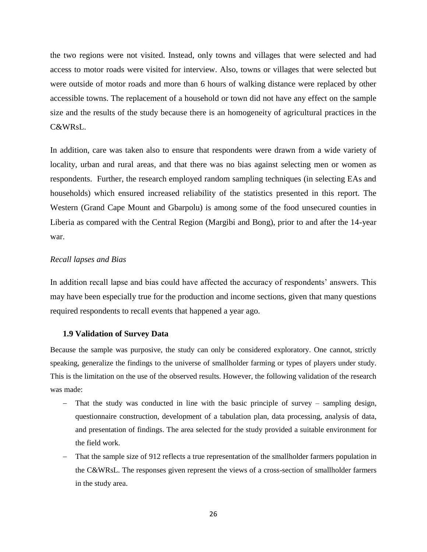the two regions were not visited. Instead, only towns and villages that were selected and had access to motor roads were visited for interview. Also, towns or villages that were selected but were outside of motor roads and more than 6 hours of walking distance were replaced by other accessible towns. The replacement of a household or town did not have any effect on the sample size and the results of the study because there is an homogeneity of agricultural practices in the C&WRsL.

In addition, care was taken also to ensure that respondents were drawn from a wide variety of locality, urban and rural areas, and that there was no bias against selecting men or women as respondents. Further, the research employed random sampling techniques (in selecting EAs and households) which ensured increased reliability of the statistics presented in this report. The Western (Grand Cape Mount and Gbarpolu) is among some of the food unsecured counties in Liberia as compared with the Central Region (Margibi and Bong), prior to and after the 14-year war.

## *Recall lapses and Bias*

In addition recall lapse and bias could have affected the accuracy of respondents' answers. This may have been especially true for the production and income sections, given that many questions required respondents to recall events that happened a year ago.

## <span id="page-25-0"></span>**1.9 Validation of Survey Data**

Because the sample was purposive, the study can only be considered exploratory. One cannot, strictly speaking, generalize the findings to the universe of smallholder farming or types of players under study. This is the limitation on the use of the observed results. However, the following validation of the research was made:

- That the study was conducted in line with the basic principle of survey sampling design, questionnaire construction, development of a tabulation plan, data processing, analysis of data, and presentation of findings. The area selected for the study provided a suitable environment for the field work.
- That the sample size of 912 reflects a true representation of the smallholder farmers population in the C&WRsL. The responses given represent the views of a cross-section of smallholder farmers in the study area.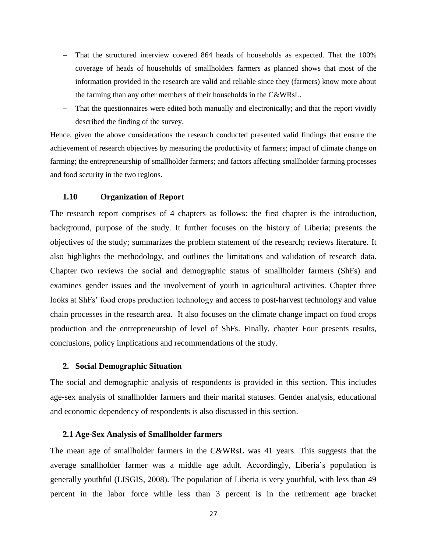- That the structured interview covered 864 heads of households as expected. That the 100% coverage of heads of households of smallholders farmers as planned shows that most of the information provided in the research are valid and reliable since they (farmers) know more about the farming than any other members of their households in the C&WRsL.
- That the questionnaires were edited both manually and electronically; and that the report vividly described the finding of the survey.

Hence, given the above considerations the research conducted presented valid findings that ensure the achievement of research objectives by measuring the productivity of farmers; impact of climate change on farming; the entrepreneurship of smallholder farmers; and factors affecting smallholder farming processes and food security in the two regions.

## <span id="page-26-0"></span>**1.10 Organization of Report**

The research report comprises of 4 chapters as follows: the first chapter is the introduction, background, purpose of the study. It further focuses on the history of Liberia; presents the objectives of the study; summarizes the problem statement of the research; reviews literature. It also highlights the methodology, and outlines the limitations and validation of research data. Chapter two reviews the social and demographic status of smallholder farmers (ShFs) and examines gender issues and the involvement of youth in agricultural activities. Chapter three looks at ShFs' food crops production technology and access to post-harvest technology and value chain processes in the research area. It also focuses on the climate change impact on food crops production and the entrepreneurship of level of ShFs. Finally, chapter Four presents results, conclusions, policy implications and recommendations of the study.

#### <span id="page-26-1"></span>**2. Social Demographic Situation**

The social and demographic analysis of respondents is provided in this section. This includes age-sex analysis of smallholder farmers and their marital statuses. Gender analysis, educational and economic dependency of respondents is also discussed in this section.

#### <span id="page-26-2"></span>**2.1 Age-Sex Analysis of Smallholder farmers**

The mean age of smallholder farmers in the C&WRsL was 41 years. This suggests that the average smallholder farmer was a middle age adult. Accordingly, Liberia's population is generally youthful (LISGIS, 2008). The population of Liberia is very youthful, with less than 49 percent in the labor force while less than 3 percent is in the retirement age bracket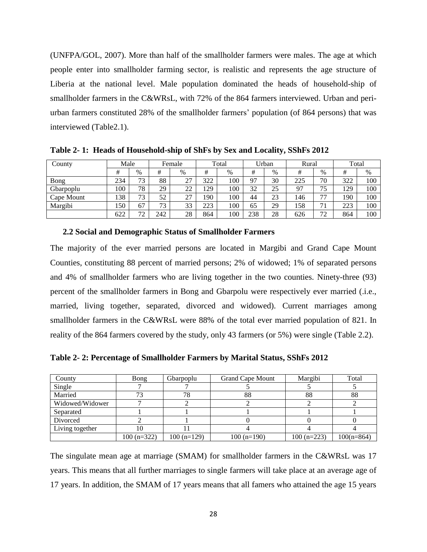(UNFPA/GOL, 2007). More than half of the smallholder farmers were males. The age at which people enter into smallholder farming sector, is realistic and represents the age structure of Liberia at the national level. Male population dominated the heads of household-ship of smallholder farmers in the C&WRsL, with 72% of the 864 farmers interviewed. Urban and periurban farmers constituted 28% of the smallholder farmers' population (of 864 persons) that was interviewed (Table2.1).

| County     | Male |      | Female |           | Total |     | Urban |      | Rural |      | Total |      |
|------------|------|------|--------|-----------|-------|-----|-------|------|-------|------|-------|------|
|            | #    | $\%$ | #      | $\%$      | #     | %   | #     | $\%$ | #     | $\%$ | #     | $\%$ |
| Bong       | 234  | 73   | 88     | 27<br>ا ت | 322   | 100 | 97    | 30   | 225   | 70   | 322   | 100  |
| Gbarpoplu  | 100  | 78   | 29     | 22        | 129   | 100 | 32    | 25   | 97    | 75   | 129   | 100  |
| Cape Mount | 138  | 73   | 52     | 27        | 190   | 100 | 44    | 23   | 146   | 77   | 190   | 100  |
| Margibi    | 150  | 67   | 73     | 33        | 223   | 100 | 65    | 29   | 158   | 71   | 223   | 100  |
|            | 622  | 72   | 242    | 28        | 864   | 100 | 238   | 28   | 626   | 72   | 864   | 100  |

<span id="page-27-1"></span>**Table 2- 1: Heads of Household-ship of ShFs by Sex and Locality, SShFs 2012**

### <span id="page-27-0"></span>**2.2 Social and Demographic Status of Smallholder Farmers**

The majority of the ever married persons are located in Margibi and Grand Cape Mount Counties, constituting 88 percent of married persons; 2% of widowed; 1% of separated persons and 4% of smallholder farmers who are living together in the two counties. Ninety-three (93) percent of the smallholder farmers in Bong and Gbarpolu were respectively ever married (.i.e., married, living together, separated, divorced and widowed). Current marriages among smallholder farmers in the C&WRsL were 88% of the total ever married population of 821. In reality of the 864 farmers covered by the study, only 43 farmers (or 5%) were single (Table 2.2).

<span id="page-27-2"></span>**Table 2- 2: Percentage of Smallholder Farmers by Marital Status, SShFs 2012**

| County          | Bong         | Gbarpoplu    | <b>Grand Cape Mount</b> | Margibi      | Total        |
|-----------------|--------------|--------------|-------------------------|--------------|--------------|
| Single          |              |              |                         |              |              |
| Married         |              | 78           | 88                      | 88           | 88           |
| Widowed/Widower |              |              |                         |              |              |
| Separated       |              |              |                         |              |              |
| Divorced        |              |              |                         |              |              |
| Living together |              |              |                         |              |              |
|                 | $100(n=322)$ | $100(n=129)$ | $100(n=190)$            | $100(n=223)$ | $100(n=864)$ |

The singulate mean age at marriage (SMAM) for smallholder farmers in the C&WRsL was 17 years. This means that all further marriages to single farmers will take place at an average age of 17 years. In addition, the SMAM of 17 years means that all famers who attained the age 15 years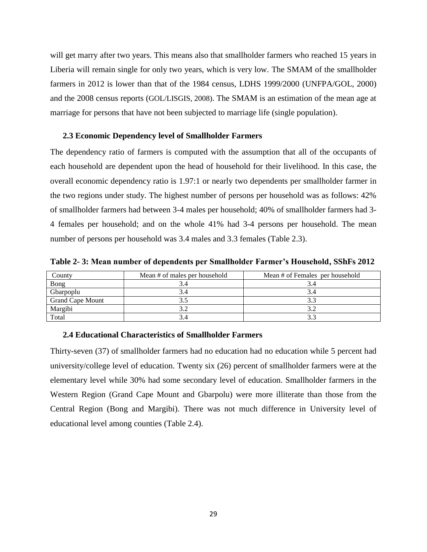will get marry after two years. This means also that smallholder farmers who reached 15 years in Liberia will remain single for only two years, which is very low. The SMAM of the smallholder farmers in 2012 is lower than that of the 1984 census, LDHS 1999/2000 (UNFPA/GOL, 2000) and the 2008 census reports (GOL/LISGIS, 2008). The SMAM is an estimation of the mean age at marriage for persons that have not been subjected to marriage life (single population).

#### <span id="page-28-0"></span>**2.3 Economic Dependency level of Smallholder Farmers**

The dependency ratio of farmers is computed with the assumption that all of the occupants of each household are dependent upon the head of household for their livelihood. In this case, the overall economic dependency ratio is 1.97:1 or nearly two dependents per smallholder farmer in the two regions under study. The highest number of persons per household was as follows: 42% of smallholder farmers had between 3-4 males per household; 40% of smallholder farmers had 3- 4 females per household; and on the whole 41% had 3-4 persons per household. The mean number of persons per household was 3.4 males and 3.3 females (Table 2.3).

<span id="page-28-2"></span>**Table 2- 3: Mean number of dependents per Smallholder Farmer's Household, SShFs 2012**

| County                  | Mean # of males per household | Mean # of Females per household |
|-------------------------|-------------------------------|---------------------------------|
| <b>Bong</b>             |                               |                                 |
| Gbarpoplu               | 3.4                           |                                 |
| <b>Grand Cape Mount</b> |                               |                                 |
| Margibi                 |                               |                                 |
| Total                   |                               |                                 |

#### <span id="page-28-1"></span>**2.4 Educational Characteristics of Smallholder Farmers**

<span id="page-28-3"></span>Thirty-seven (37) of smallholder farmers had no education had no education while 5 percent had university/college level of education. Twenty six (26) percent of smallholder farmers were at the elementary level while 30% had some secondary level of education. Smallholder farmers in the Western Region (Grand Cape Mount and Gbarpolu) were more illiterate than those from the Central Region (Bong and Margibi). There was not much difference in University level of educational level among counties (Table 2.4).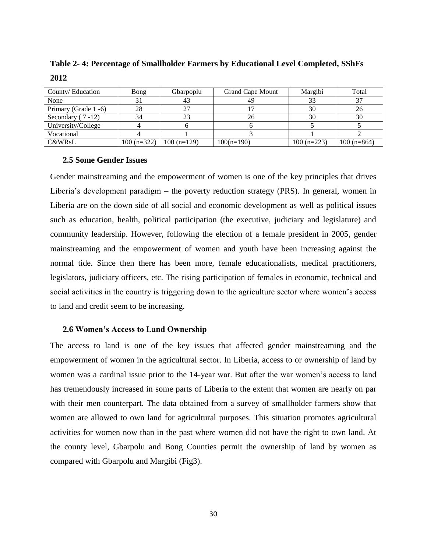**Table 2- 4: Percentage of Smallholder Farmers by Educational Level Completed, SShFs 2012**

| County/Education     | Bong         | Gbarpoplu    | <b>Grand Cape Mount</b> | Margibi      | Total        |
|----------------------|--------------|--------------|-------------------------|--------------|--------------|
| None                 |              |              | 49                      |              | 27           |
| Primary (Grade 1 -6) | 28           |              |                         | 30           | 26           |
| Secondary $(7-12)$   | 34           | 23           | 26                      | 30           | 30           |
| University/College   |              |              |                         |              |              |
| Vocational           |              |              |                         |              |              |
| C&WRsL               | $100(n=322)$ | $100(n=129)$ | $100(n=190)$            | $100(n=223)$ | $100(n=864)$ |

#### <span id="page-29-0"></span>**2.5 Some Gender Issues**

Gender mainstreaming and the empowerment of women is one of the key principles that drives Liberia's development paradigm – the poverty reduction strategy (PRS). In general, women in Liberia are on the down side of all social and economic development as well as political issues such as education, health, political participation (the executive, judiciary and legislature) and community leadership. However, following the election of a female president in 2005, gender mainstreaming and the empowerment of women and youth have been increasing against the normal tide. Since then there has been more, female educationalists, medical practitioners, legislators, judiciary officers, etc. The rising participation of females in economic, technical and social activities in the country is triggering down to the agriculture sector where women's access to land and credit seem to be increasing.

### <span id="page-29-1"></span>**2.6 Women's Access to Land Ownership**

The access to land is one of the key issues that affected gender mainstreaming and the empowerment of women in the agricultural sector. In Liberia, access to or ownership of land by women was a cardinal issue prior to the 14-year war. But after the war women's access to land has tremendously increased in some parts of Liberia to the extent that women are nearly on par with their men counterpart. The data obtained from a survey of smallholder farmers show that women are allowed to own land for agricultural purposes. This situation promotes agricultural activities for women now than in the past where women did not have the right to own land. At the county level, Gbarpolu and Bong Counties permit the ownership of land by women as compared with Gbarpolu and Margibi (Fig3).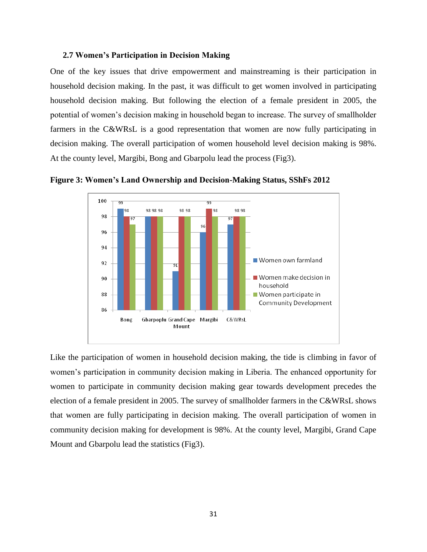## <span id="page-30-0"></span>**2.7 Women's Participation in Decision Making**

One of the key issues that drive empowerment and mainstreaming is their participation in household decision making. In the past, it was difficult to get women involved in participating household decision making. But following the election of a female president in 2005, the potential of women's decision making in household began to increase. The survey of smallholder farmers in the C&WRsL is a good representation that women are now fully participating in decision making. The overall participation of women household level decision making is 98%. At the county level, Margibi, Bong and Gbarpolu lead the process (Fig3).



<span id="page-30-1"></span>

Like the participation of women in household decision making, the tide is climbing in favor of women's participation in community decision making in Liberia. The enhanced opportunity for women to participate in community decision making gear towards development precedes the election of a female president in 2005. The survey of smallholder farmers in the C&WRsL shows that women are fully participating in decision making. The overall participation of women in community decision making for development is 98%. At the county level, Margibi, Grand Cape Mount and Gbarpolu lead the statistics (Fig3).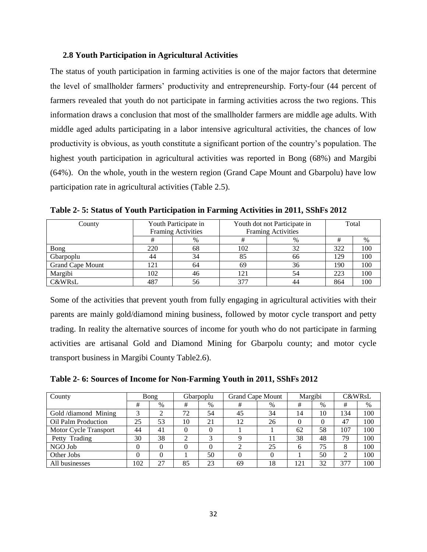## <span id="page-31-0"></span>**2.8 Youth Participation in Agricultural Activities**

The status of youth participation in farming activities is one of the major factors that determine the level of smallholder farmers' productivity and entrepreneurship. Forty-four (44 percent of farmers revealed that youth do not participate in farming activities across the two regions. This information draws a conclusion that most of the smallholder farmers are middle age adults. With middle aged adults participating in a labor intensive agricultural activities, the chances of low productivity is obvious, as youth constitute a significant portion of the country's population. The highest youth participation in agricultural activities was reported in Bong (68%) and Margibi (64%). On the whole, youth in the western region (Grand Cape Mount and Gbarpolu) have low participation rate in agricultural activities (Table 2.5).

| County                  |     | Youth Participate in<br><b>Framing Activities</b> | Youth dot not Participate in<br><b>Framing Activities</b> | Total |     |     |
|-------------------------|-----|---------------------------------------------------|-----------------------------------------------------------|-------|-----|-----|
|                         |     | $\%$                                              |                                                           | %     | #   | %   |
| Bong                    | 220 | 68                                                | 102                                                       | 32    | 322 | 100 |
| Gbarpoplu               | 44  | 34                                                | 85                                                        | 66    | 129 | 100 |
| <b>Grand Cape Mount</b> | 121 | 64                                                | 69                                                        | 36    | 190 | 100 |
| Margibi                 | 102 | 46                                                | 121                                                       | 54    | 223 | 100 |
| <b>C&amp;WRsL</b>       | 487 | 56                                                | 377                                                       | 44    | 864 | 100 |

<span id="page-31-1"></span>**Table 2- 5: Status of Youth Participation in Farming Activities in 2011, SShFs 2012**

Some of the activities that prevent youth from fully engaging in agricultural activities with their parents are mainly gold/diamond mining business, followed by motor cycle transport and petty trading. In reality the alternative sources of income for youth who do not participate in farming activities are artisanal Gold and Diamond Mining for Gbarpolu county; and motor cycle transport business in Margibi County Table2.6).

<span id="page-31-2"></span>**Table 2- 6: Sources of Income for Non-Farming Youth in 2011, SShFs 2012**

| County                |     | Bong |    | Gbarpoplu  | <b>Grand Cape Mount</b> |          | Margibi  |      |     | <b>C&amp;WRsL</b> |
|-----------------------|-----|------|----|------------|-------------------------|----------|----------|------|-----|-------------------|
|                       |     |      |    |            |                         |          |          |      |     |                   |
|                       | #   | $\%$ | #  | %          | #                       | $\%$     | #        | $\%$ | #   | %                 |
| Gold /diamond Mining  | 3   |      | 72 | 54         | 45                      | 34       | 14       | 10   | 134 | 100               |
| Oil Palm Production   | 25  | 53   | 10 | 21         | 12                      | 26       | $\theta$ | 0    | 47  | 100               |
| Motor Cycle Transport | 44  | 41   |    |            |                         |          | 62       | 58   | 107 | 100               |
| Petty Trading         | 30  | 38   | ◠  | $\sqrt{2}$ |                         |          | 38       | 48   | 79  | 100               |
| NGO Job               |     |      |    |            |                         | 25       | 6        | 75   | 8   | 100               |
| Other Jobs            |     |      |    | 50         |                         | $\Omega$ |          | 50   | ◠   | 100               |
| All businesses        | 102 | 27   | 85 | 23         | 69                      | 18       | 12.      | 32   | 377 | 100               |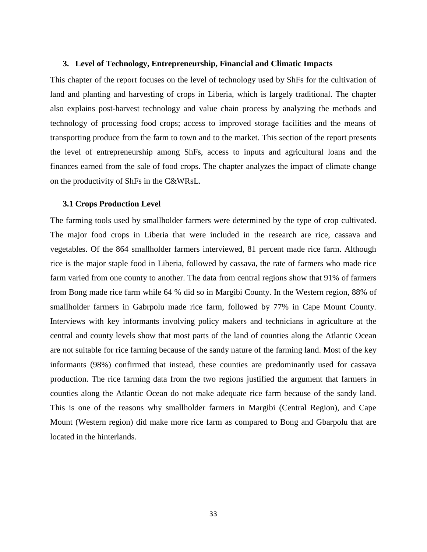#### <span id="page-32-0"></span>**3. Level of Technology, Entrepreneurship, Financial and Climatic Impacts**

This chapter of the report focuses on the level of technology used by ShFs for the cultivation of land and planting and harvesting of crops in Liberia, which is largely traditional. The chapter also explains post-harvest technology and value chain process by analyzing the methods and technology of processing food crops; access to improved storage facilities and the means of transporting produce from the farm to town and to the market. This section of the report presents the level of entrepreneurship among ShFs, access to inputs and agricultural loans and the finances earned from the sale of food crops. The chapter analyzes the impact of climate change on the productivity of ShFs in the C&WRsL.

#### <span id="page-32-1"></span>**3.1 Crops Production Level**

<span id="page-32-2"></span>The farming tools used by smallholder farmers were determined by the type of crop cultivated. The major food crops in Liberia that were included in the research are rice, cassava and vegetables. Of the 864 smallholder farmers interviewed, 81 percent made rice farm. Although rice is the major staple food in Liberia, followed by cassava, the rate of farmers who made rice farm varied from one county to another. The data from central regions show that 91% of farmers from Bong made rice farm while 64 % did so in Margibi County. In the Western region, 88% of smallholder farmers in Gabrpolu made rice farm, followed by 77% in Cape Mount County. Interviews with key informants involving policy makers and technicians in agriculture at the central and county levels show that most parts of the land of counties along the Atlantic Ocean are not suitable for rice farming because of the sandy nature of the farming land. Most of the key informants (98%) confirmed that instead, these counties are predominantly used for cassava production. The rice farming data from the two regions justified the argument that farmers in counties along the Atlantic Ocean do not make adequate rice farm because of the sandy land. This is one of the reasons why smallholder farmers in Margibi (Central Region), and Cape Mount (Western region) did make more rice farm as compared to Bong and Gbarpolu that are located in the hinterlands.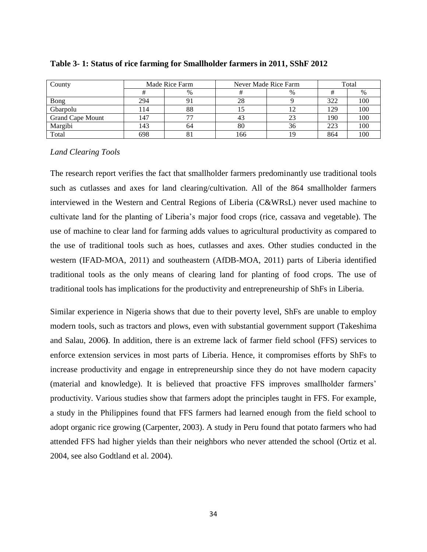| County                  | Made Rice Farm |      |     | Never Made Rice Farm | Total |      |  |
|-------------------------|----------------|------|-----|----------------------|-------|------|--|
|                         |                | $\%$ |     | $\%$                 |       | $\%$ |  |
| <b>Bong</b>             | 294            |      | 28  |                      | 322   | 100  |  |
| Gbarpolu                | - 14           | 88   |     |                      | 129   | 100  |  |
| <b>Grand Cape Mount</b> | l 47           |      |     |                      | 190   | 100  |  |
| Margibi                 | l 43           | 64   | 80  | 36                   | 223   | 100  |  |
| Total                   | 698            | ΟI   | 166 | 19                   | 864   | 100  |  |

## **Table 3- 1: Status of rice farming for Smallholder farmers in 2011, SShF 2012**

## *Land Clearing Tools*

The research report verifies the fact that smallholder farmers predominantly use traditional tools such as cutlasses and axes for land clearing/cultivation. All of the 864 smallholder farmers interviewed in the Western and Central Regions of Liberia (C&WRsL) never used machine to cultivate land for the planting of Liberia's major food crops (rice, cassava and vegetable). The use of machine to clear land for farming adds values to agricultural productivity as compared to the use of traditional tools such as hoes, cutlasses and axes. Other studies conducted in the western (IFAD-MOA, 2011) and southeastern (AfDB-MOA, 2011) parts of Liberia identified traditional tools as the only means of clearing land for planting of food crops. The use of traditional tools has implications for the productivity and entrepreneurship of ShFs in Liberia.

Similar experience in Nigeria shows that due to their poverty level, ShFs are unable to employ modern tools, such as tractors and plows, even with substantial government support (Takeshima and Salau, 2006**)**. In addition, there is an extreme lack of farmer field school (FFS) services to enforce extension services in most parts of Liberia. Hence, it compromises efforts by ShFs to increase productivity and engage in entrepreneurship since they do not have modern capacity (material and knowledge). It is believed that proactive FFS improves smallholder farmers' productivity. Various studies show that farmers adopt the principles taught in FFS. For example, a study in the Philippines found that FFS farmers had learned enough from the field school to adopt organic rice growing (Carpenter, 2003). A study in Peru found that potato farmers who had attended FFS had higher yields than their neighbors who never attended the school (Ortiz et al. 2004, see also Godtland et al. 2004).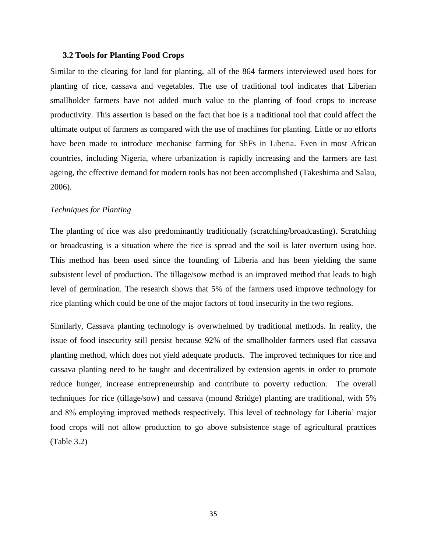#### <span id="page-34-0"></span>**3.2 Tools for Planting Food Crops**

Similar to the clearing for land for planting, all of the 864 farmers interviewed used hoes for planting of rice, cassava and vegetables. The use of traditional tool indicates that Liberian smallholder farmers have not added much value to the planting of food crops to increase productivity. This assertion is based on the fact that hoe is a traditional tool that could affect the ultimate output of farmers as compared with the use of machines for planting. Little or no efforts have been made to introduce mechanise farming for ShFs in Liberia. Even in most African countries, including Nigeria, where urbanization is rapidly increasing and the farmers are fast ageing, the effective demand for modern tools has not been accomplished (Takeshima and Salau, 2006).

#### *Techniques for Planting*

The planting of rice was also predominantly traditionally (scratching/broadcasting). Scratching or broadcasting is a situation where the rice is spread and the soil is later overturn using hoe. This method has been used since the founding of Liberia and has been yielding the same subsistent level of production. The tillage/sow method is an improved method that leads to high level of germination. The research shows that 5% of the farmers used improve technology for rice planting which could be one of the major factors of food insecurity in the two regions.

<span id="page-34-1"></span>Similarly, Cassava planting technology is overwhelmed by traditional methods. In reality, the issue of food insecurity still persist because 92% of the smallholder farmers used flat cassava planting method, which does not yield adequate products. The improved techniques for rice and cassava planting need to be taught and decentralized by extension agents in order to promote reduce hunger, increase entrepreneurship and contribute to poverty reduction. The overall techniques for rice (tillage/sow) and cassava (mound &ridge) planting are traditional, with 5% and 8% employing improved methods respectively. This level of technology for Liberia' major food crops will not allow production to go above subsistence stage of agricultural practices (Table 3.2)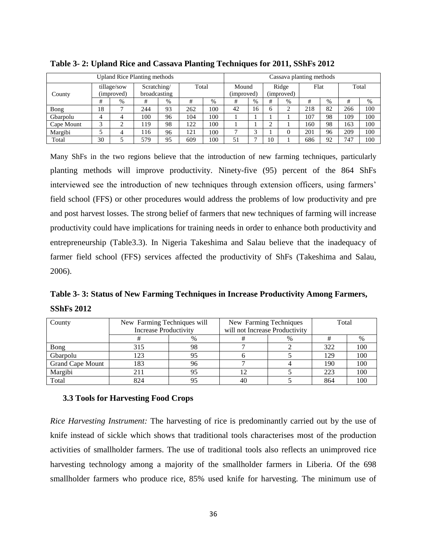|            | Upland Rice Planting methods |                           |                             |    |       |     | Cassava planting methods |      |        |                     |      |    |     |       |
|------------|------------------------------|---------------------------|-----------------------------|----|-------|-----|--------------------------|------|--------|---------------------|------|----|-----|-------|
| County     |                              | tillage/sow<br>(improved) | Scratching/<br>broadcasting |    | Total |     | Mound<br>(improved)      |      |        | Ridge<br>(improved) | Flat |    |     | Total |
|            | #                            | $\%$                      | #                           | %  | #     | %   | #                        | $\%$ | #      | %                   | #    | %  | #   | $\%$  |
| Bong       | 18                           |                           | 244                         | 93 | 262   | 100 | 42                       | 16   | 6      | ◠                   | 218  | 82 | 266 | 100   |
| Gbarpolu   | 4                            |                           | 100                         | 96 | 104   | 100 |                          |      |        |                     | 107  | 98 | 109 | 100   |
| Cape Mount | 3                            |                           | 19                          | 98 | 122   | 100 |                          |      | ◠<br>∠ |                     | 160  | 98 | 163 | 100   |
| Margibi    |                              |                           | 116                         | 96 | 121   | 100 | $\mathbf{r}$             | ⌒    |        |                     | 201  | 96 | 209 | 100   |
| Total      | 30                           |                           | 579                         | 95 | 609   | 100 | 51                       | -    | 10     |                     | 686  | 92 | 747 | 100   |

**Table 3- 2: Upland Rice and Cassava Planting Techniques for 2011, SShFs 2012**

Many ShFs in the two regions believe that the introduction of new farming techniques, particularly planting methods will improve productivity. Ninety-five (95) percent of the 864 ShFs interviewed see the introduction of new techniques through extension officers, using farmers' field school (FFS) or other procedures would address the problems of low productivity and pre and post harvest losses. The strong belief of farmers that new techniques of farming will increase productivity could have implications for training needs in order to enhance both productivity and entrepreneurship (Table3.3). In Nigeria Takeshima and Salau believe that the inadequacy of farmer field school (FFS) services affected the productivity of ShFs (Takeshima and Salau, 2006).

<span id="page-35-1"></span>**Table 3- 3: Status of New Farming Techniques in Increase Productivity Among Farmers, SShFs 2012**

| County                  | New Farming Techniques will  |      | New Farming Techniques         |  | Total |      |  |
|-------------------------|------------------------------|------|--------------------------------|--|-------|------|--|
|                         | <b>Increase Productivity</b> |      | will not Increase Productivity |  |       |      |  |
|                         |                              | $\%$ | %                              |  |       | $\%$ |  |
| Bong                    | 315                          | 98   |                                |  | 322   | 100  |  |
| Gbarpolu                | 123                          | 95   |                                |  | 129   | 100  |  |
| <b>Grand Cape Mount</b> | 183                          | 96   |                                |  | 190   | 100  |  |
| Margibi                 | 211                          | 95   |                                |  | 223   | 100  |  |
| Total                   | 824                          |      | 40                             |  | 864   | 100  |  |

# <span id="page-35-0"></span>**3.3 Tools for Harvesting Food Crops**

*Rice Harvesting Instrument:* The harvesting of rice is predominantly carried out by the use of knife instead of sickle which shows that traditional tools characterises most of the production activities of smallholder farmers. The use of traditional tools also reflects an unimproved rice harvesting technology among a majority of the smallholder farmers in Liberia. Of the 698 smallholder farmers who produce rice, 85% used knife for harvesting. The minimum use of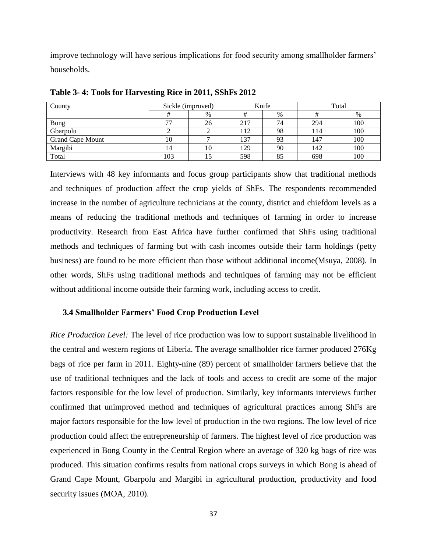improve technology will have serious implications for food security among smallholder farmers' households.

| County                  | Sickle (improved) |    |     | Knife | Total |     |  |
|-------------------------|-------------------|----|-----|-------|-------|-----|--|
|                         |                   | %  |     | $\%$  |       | %   |  |
| Bong                    | 77                | 26 | 217 | 74    | 294   | 100 |  |
| Gbarpolu                |                   |    | 112 | 98    | 114   | 100 |  |
| <b>Grand Cape Mount</b> | 10                |    | 137 | 93    | 147   | 100 |  |
| Margibi                 | 14                | 10 | 129 | 90    | 142   | 100 |  |
| Total                   | 103               | 15 | 598 | 85    | 698   | 100 |  |

<span id="page-36-1"></span>**Table 3- 4: Tools for Harvesting Rice in 2011, SShFs 2012**

Interviews with 48 key informants and focus group participants show that traditional methods and techniques of production affect the crop yields of ShFs. The respondents recommended increase in the number of agriculture technicians at the county, district and chiefdom levels as a means of reducing the traditional methods and techniques of farming in order to increase productivity. Research from East Africa have further confirmed that ShFs using traditional methods and techniques of farming but with cash incomes outside their farm holdings (petty business) are found to be more efficient than those without additional income(Msuya, 2008). In other words, ShFs using traditional methods and techniques of farming may not be efficient without additional income outside their farming work, including access to credit.

## <span id="page-36-0"></span>**3.4 Smallholder Farmers' Food Crop Production Level**

*Rice Production Level:* The level of rice production was low to support sustainable livelihood in the central and western regions of Liberia. The average smallholder rice farmer produced 276Kg bags of rice per farm in 2011. Eighty-nine (89) percent of smallholder farmers believe that the use of traditional techniques and the lack of tools and access to credit are some of the major factors responsible for the low level of production. Similarly, key informants interviews further confirmed that unimproved method and techniques of agricultural practices among ShFs are major factors responsible for the low level of production in the two regions. The low level of rice production could affect the entrepreneurship of farmers. The highest level of rice production was experienced in Bong County in the Central Region where an average of 320 kg bags of rice was produced. This situation confirms results from national crops surveys in which Bong is ahead of Grand Cape Mount, Gbarpolu and Margibi in agricultural production, productivity and food security issues (MOA, 2010).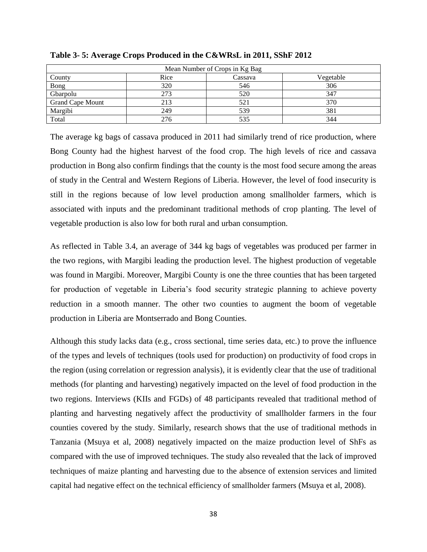| Mean Number of Crops in Kg Bag |      |         |           |  |  |  |  |  |  |
|--------------------------------|------|---------|-----------|--|--|--|--|--|--|
| County                         | Rice | Cassava | Vegetable |  |  |  |  |  |  |
| <b>Bong</b>                    | 320  | 546     | 306       |  |  |  |  |  |  |
| Gbarpolu                       | 273  | 520     | 347       |  |  |  |  |  |  |
| <b>Grand Cape Mount</b>        | 213  | 521     | 370       |  |  |  |  |  |  |
| Margibi                        | 249  | 539     | 381       |  |  |  |  |  |  |
| Total                          | 276  | 535     | 344       |  |  |  |  |  |  |

<span id="page-37-0"></span>**Table 3- 5: Average Crops Produced in the C&WRsL in 2011, SShF 2012**

The average kg bags of cassava produced in 2011 had similarly trend of rice production, where Bong County had the highest harvest of the food crop. The high levels of rice and cassava production in Bong also confirm findings that the county is the most food secure among the areas of study in the Central and Western Regions of Liberia. However, the level of food insecurity is still in the regions because of low level production among smallholder farmers, which is associated with inputs and the predominant traditional methods of crop planting. The level of vegetable production is also low for both rural and urban consumption.

As reflected in Table 3.4, an average of 344 kg bags of vegetables was produced per farmer in the two regions, with Margibi leading the production level. The highest production of vegetable was found in Margibi. Moreover, Margibi County is one the three counties that has been targeted for production of vegetable in Liberia's food security strategic planning to achieve poverty reduction in a smooth manner. The other two counties to augment the boom of vegetable production in Liberia are Montserrado and Bong Counties.

Although this study lacks data (e.g., cross sectional, time series data, etc.) to prove the influence of the types and levels of techniques (tools used for production) on productivity of food crops in the region (using correlation or regression analysis), it is evidently clear that the use of traditional methods (for planting and harvesting) negatively impacted on the level of food production in the two regions. Interviews (KIIs and FGDs) of 48 participants revealed that traditional method of planting and harvesting negatively affect the productivity of smallholder farmers in the four counties covered by the study. Similarly, research shows that the use of traditional methods in Tanzania (Msuya et al, 2008) negatively impacted on the maize production level of ShFs as compared with the use of improved techniques. The study also revealed that the lack of improved techniques of maize planting and harvesting due to the absence of extension services and limited capital had negative effect on the technical efficiency of smallholder farmers (Msuya et al, 2008).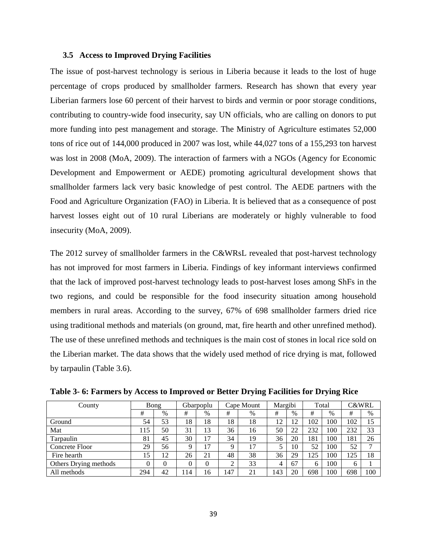#### <span id="page-38-0"></span>**3.5 Access to Improved Drying Facilities**

The issue of post-harvest technology is serious in Liberia because it leads to the lost of huge percentage of crops produced by smallholder farmers. Research has shown that every year Liberian farmers lose 60 percent of their harvest to birds and vermin or poor storage conditions, contributing to country-wide food insecurity, say UN officials, who are calling on donors to put more funding into pest management and storage. The Ministry of Agriculture estimates 52,000 tons of rice out of 144,000 produced in 2007 was lost, while 44,027 tons of a 155,293 ton harvest was lost in 2008 (MoA, 2009). The interaction of farmers with a NGOs (Agency for Economic Development and Empowerment or AEDE) promoting agricultural development shows that smallholder farmers lack very basic knowledge of pest control. The AEDE partners with the Food and Agriculture Organization (FAO) in Liberia. It is believed that as a consequence of post harvest losses eight out of 10 rural Liberians are moderately or highly vulnerable to food insecurity (MoA, 2009).

The 2012 survey of smallholder farmers in the C&WRsL revealed that post-harvest technology has not improved for most farmers in Liberia. Findings of key informant interviews confirmed that the lack of improved post-harvest technology leads to post-harvest loses among ShFs in the two regions, and could be responsible for the food insecurity situation among household members in rural areas. According to the survey, 67% of 698 smallholder farmers dried rice using traditional methods and materials (on ground, mat, fire hearth and other unrefined method). The use of these unrefined methods and techniques is the main cost of stones in local rice sold on the Liberian market. The data shows that the widely used method of rice drying is mat, followed by tarpaulin (Table 3.6).

| County                |     | Bong     |          | Gbarpoplu |     | Cape Mount | Margibi |      |     | Total | <b>C&amp;WRL</b> |              |
|-----------------------|-----|----------|----------|-----------|-----|------------|---------|------|-----|-------|------------------|--------------|
|                       | #   | $\%$     | #        | $\%$      | #   | $\%$       | #       | $\%$ | #   | $\%$  | #                | %            |
| Ground                | 54  | 53       | 18       | 18        | 18  | 18         | 12      | 12   | 102 | 100   | 102              | 15           |
| Mat                   | 115 | 50       | 31       | 13        | 36  | 16         | 50      | 22   | 232 | 100   | 232              | 33           |
| Tarpaulin             | 81  | 45       | 30       | 17        | 34  | 19         | 36      | 20   | 181 | 100   | 181              | 26           |
| Concrete Floor        | 29  | 56       | 9        | 17        | q   | 17         | 5       | 10   | 52  | 100   | 52               | $\mathbf{r}$ |
| Fire hearth           | 15  | 12       | 26       | 21        | 48  | 38         | 36      | 29   | 125 | 100   | 125              | 18           |
| Others Drying methods |     | $\theta$ | $\Omega$ | $\theta$  | ◠   | 33         | 4       | 67   | 6   | 100   | 6                |              |
| All methods           | 294 | 42       | 114      | 16        | 147 | 21         | 143     | 20   | 698 | 100   | 698              | 100          |

<span id="page-38-1"></span>**Table 3- 6: Farmers by Access to Improved or Better Drying Facilities for Drying Rice**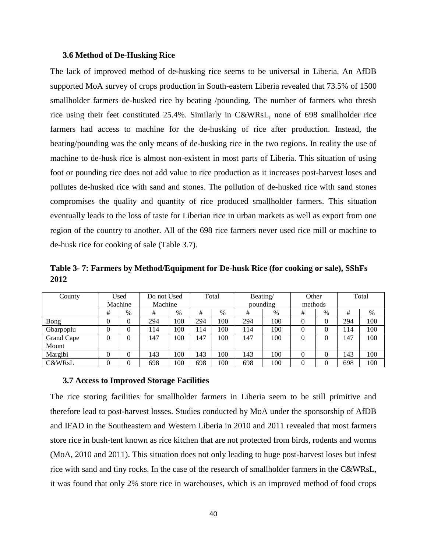#### <span id="page-39-0"></span>**3.6 Method of De-Husking Rice**

The lack of improved method of de-husking rice seems to be universal in Liberia. An AfDB supported MoA survey of crops production in South-eastern Liberia revealed that 73.5% of 1500 smallholder farmers de-husked rice by beating /pounding. The number of farmers who thresh rice using their feet constituted 25.4%. Similarly in C&WRsL, none of 698 smallholder rice farmers had access to machine for the de-husking of rice after production. Instead, the beating/pounding was the only means of de-husking rice in the two regions. In reality the use of machine to de-husk rice is almost non-existent in most parts of Liberia. This situation of using foot or pounding rice does not add value to rice production as it increases post-harvest loses and pollutes de-husked rice with sand and stones. The pollution of de-husked rice with sand stones compromises the quality and quantity of rice produced smallholder farmers. This situation eventually leads to the loss of taste for Liberian rice in urban markets as well as export from one region of the country to another. All of the 698 rice farmers never used rice mill or machine to de-husk rice for cooking of sale (Table 3.7).

<span id="page-39-2"></span>**Table 3- 7: Farmers by Method/Equipment for De-husk Rice (for cooking or sale), SShFs 2012** 

| County            |                | Used    | Do not Used |      | Total |      | Beating/ |          | Other |         | Total |     |
|-------------------|----------------|---------|-------------|------|-------|------|----------|----------|-------|---------|-------|-----|
|                   |                | Machine | Machine     |      |       |      |          | pounding |       | methods |       |     |
|                   | #              | $\%$    | #           | $\%$ | #     | $\%$ | #        | $\%$     | #     | $\%$    | #     | %   |
| Bong              | 0              |         | 294         | 100  | 294   | 100  | 294      | 100      | 0     | 0       | 294   | 100 |
| Gbarpoplu         | $\theta$       |         | 114         | 100  | 114   | 100  | 114      | 100      |       | 0       | 14    | 100 |
| Grand Cape        | $\overline{0}$ |         | 147         | 100  | 147   | 100  | 147      | 100      | 0     | 0       | 147   | 100 |
| Mount             |                |         |             |      |       |      |          |          |       |         |       |     |
| Margibi           | $\theta$       |         | 143         | 100  | 143   | 100  | 143      | 100      | 0     | 0       | 143   | 100 |
| <b>C&amp;WRsL</b> | $\theta$       |         | 698         | 100  | 698   | 100  | 698      | 100      |       | 0       | 698   | 100 |

#### <span id="page-39-1"></span>**3.7 Access to Improved Storage Facilities**

The rice storing facilities for smallholder farmers in Liberia seem to be still primitive and therefore lead to post-harvest losses. Studies conducted by MoA under the sponsorship of AfDB and IFAD in the Southeastern and Western Liberia in 2010 and 2011 revealed that most farmers store rice in bush-tent known as rice kitchen that are not protected from birds, rodents and worms (MoA, 2010 and 2011). This situation does not only leading to huge post-harvest loses but infest rice with sand and tiny rocks. In the case of the research of smallholder farmers in the C&WRsL, it was found that only 2% store rice in warehouses, which is an improved method of food crops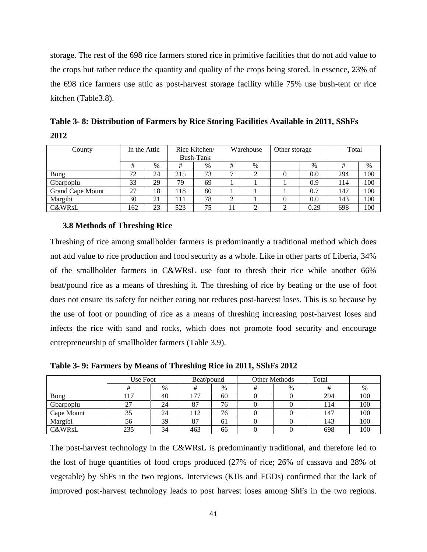storage. The rest of the 698 rice farmers stored rice in primitive facilities that do not add value to the crops but rather reduce the quantity and quality of the crops being stored. In essence, 23% of the 698 rice farmers use attic as post-harvest storage facility while 75% use bush-tent or rice kitchen (Table3.8).

<span id="page-40-1"></span>

| Table 3-8: Distribution of Farmers by Rice Storing Facilities Available in 2011, SShFs |              |               |           |                            |       |  |  |  |  |
|----------------------------------------------------------------------------------------|--------------|---------------|-----------|----------------------------|-------|--|--|--|--|
| 2012                                                                                   |              |               |           |                            |       |  |  |  |  |
| ∵ountv                                                                                 | In the Attic | Rice Kitchen/ | Warehouse | Dependent of Other storage | Total |  |  |  |  |

| County                  | In the Attic |      | Rice Kitchen/<br>Bush-Tank |      | Warehouse |   | Other storage |      | Total |     |
|-------------------------|--------------|------|----------------------------|------|-----------|---|---------------|------|-------|-----|
|                         |              | $\%$ | #                          | $\%$ | #         | % |               | $\%$ |       | %   |
| Bong                    | 72           | 24   | 215                        | 73   | −         |   |               | 0.0  | 294   | 100 |
| Gbarpoplu               | 33           | 29   | 79                         | 69   |           |   |               | 0.9  | 114   | 100 |
| <b>Grand Cape Mount</b> | 27           | 18   | 118                        | 80   |           |   |               | 0.7  | 147   | 100 |
| Margibi                 | 30           | 21   | l 11                       | 78   | ◠<br>∠    |   |               | 0.0  | 143   | 100 |
| <b>C&amp;WRsL</b>       | 162          | 23   | 523                        | 75   |           |   |               | 0.29 | 698   | 100 |

### <span id="page-40-0"></span>**3.8 Methods of Threshing Rice**

Threshing of rice among smallholder farmers is predominantly a traditional method which does not add value to rice production and food security as a whole. Like in other parts of Liberia, 34% of the smallholder farmers in C&WRsL use foot to thresh their rice while another 66% beat/pound rice as a means of threshing it. The threshing of rice by beating or the use of foot does not ensure its safety for neither eating nor reduces post-harvest loses. This is so because by the use of foot or pounding of rice as a means of threshing increasing post-harvest loses and infects the rice with sand and rocks, which does not promote food security and encourage entrepreneurship of smallholder farmers (Table 3.9).

<span id="page-40-2"></span>**Table 3- 9: Farmers by Means of Threshing Rice in 2011, SShFs 2012**

|                   | Use Foot |    | Beat/pound |    | <b>Other Methods</b> |      | Total |     |
|-------------------|----------|----|------------|----|----------------------|------|-------|-----|
|                   |          | %  |            | %  |                      | $\%$ |       | %   |
| Bong              | .17      | 40 | 77         | 60 |                      |      | 294   | 100 |
| Gbarpoplu         | 27       | 24 | 87         | 76 |                      |      | l 14  | 100 |
| Cape Mount        | 35       | 24 | 112        | 76 |                      |      | 147   | 100 |
| Margibi           | 56       | 39 | 87         | 61 |                      |      | 143   | 100 |
| <b>C&amp;WRsL</b> | 235      | 34 | 463        | 66 |                      |      | 698   | 100 |

The post-harvest technology in the C&WRsL is predominantly traditional, and therefore led to the lost of huge quantities of food crops produced (27% of rice; 26% of cassava and 28% of vegetable) by ShFs in the two regions. Interviews (KIIs and FGDs) confirmed that the lack of improved post-harvest technology leads to post harvest loses among ShFs in the two regions.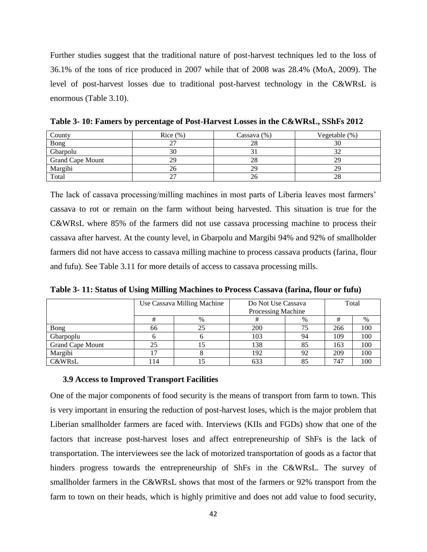Further studies suggest that the traditional nature of post-harvest techniques led to the loss of 36.1% of the tons of rice produced in 2007 while that of 2008 was 28.4% (MoA, 2009). The level of post-harvest losses due to traditional post-harvest technology in the C&WRsL is enormous (Table 3.10).

| County                  | Rice $(\%)$ | Cassava $(\%)$ | Vegetable $(\%)$ |
|-------------------------|-------------|----------------|------------------|
| Bong                    |             | 28             | 30               |
| Gbarpolu                | 30          |                |                  |
| <b>Grand Cape Mount</b> | 29          | 28             | 29               |
| Margibi                 | 26          | 29             | 29               |
| Total                   | 27          | 26             | 28               |

<span id="page-41-1"></span>**Table 3- 10: Famers by percentage of Post-Harvest Losses in the C&WRsL, SShFs 2012**

The lack of cassava processing/milling machines in most parts of Liberia leaves most farmers' cassava to rot or remain on the farm without being harvested. This situation is true for the C&WRsL where 85% of the farmers did not use cassava processing machine to process their cassava after harvest. At the county level, in Gbarpolu and Margibi 94% and 92% of smallholder farmers did not have access to cassava milling machine to process cassava products (farina, flour and fufu). See Table 3.11 for more details of access to cassava processing mills.

<span id="page-41-2"></span>**Table 3- 11: Status of Using Milling Machines to Process Cassava (farina, flour or fufu)**

|                         |    | Use Cassava Milling Machine |     | Do Not Use Cassava<br>Processing Machine |     |     |  |
|-------------------------|----|-----------------------------|-----|------------------------------------------|-----|-----|--|
|                         |    | $\%$                        |     | $\%$                                     | #   | %   |  |
| Bong                    | 66 |                             | 200 | 75                                       | 266 | 100 |  |
| Gbarpoplu               |    |                             | 103 | 94                                       | 109 | 100 |  |
| <b>Grand Cape Mount</b> | 25 |                             | 138 | 85                                       | 163 | 100 |  |
| Margibi                 |    |                             | 192 | 92                                       | 209 | 100 |  |
| <b>C&amp;WRsL</b>       | 14 |                             | 633 | 85                                       | 747 | 100 |  |

#### <span id="page-41-0"></span>**3.9 Access to Improved Transport Facilities**

One of the major components of food security is the means of transport from farm to town. This is very important in ensuring the reduction of post-harvest loses, which is the major problem that Liberian smallholder farmers are faced with. Interviews (KIIs and FGDs) show that one of the factors that increase post-harvest loses and affect entrepreneurship of ShFs is the lack of transportation. The interviewees see the lack of motorized transportation of goods as a factor that hinders progress towards the entrepreneurship of ShFs in the C&WRsL. The survey of smallholder farmers in the C&WRsL shows that most of the farmers or 92% transport from the farm to town on their heads, which is highly primitive and does not add value to food security,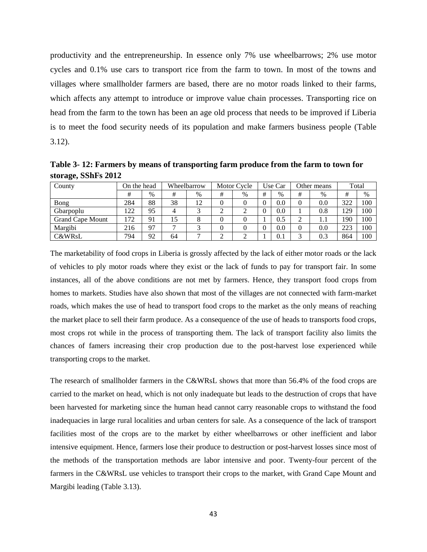productivity and the entrepreneurship. In essence only 7% use wheelbarrows; 2% use motor cycles and 0.1% use cars to transport rice from the farm to town. In most of the towns and villages where smallholder farmers are based, there are no motor roads linked to their farms, which affects any attempt to introduce or improve value chain processes. Transporting rice on head from the farm to the town has been an age old process that needs to be improved if Liberia is to meet the food security needs of its population and make farmers business people (Table 3.12).

<span id="page-42-0"></span>**Table 3- 12: Farmers by means of transporting farm produce from the farm to town for storage, SShFs 2012**

| County                  | On the head |      |    | Wheelbarrow |   | Motor Cycle |   | Use Car |   | Other means |     | Total |
|-------------------------|-------------|------|----|-------------|---|-------------|---|---------|---|-------------|-----|-------|
|                         |             | $\%$ | #  | $\%$        | # | $\%$        | # | $\%$    | # | $\%$        | #   | $\%$  |
| Bong                    | 284         | 88   | 38 | 12          |   |             |   | 0.0     | 0 | 0.0         | 322 | 100   |
| Gbarpoplu               | 122         | 95   |    |             |   |             |   | 0.0     |   | 0.8         | 129 | 100   |
| <b>Grand Cape Mount</b> | 172         | 91   | 15 |             |   |             |   | 0.5     |   | 1. 1        | 190 | 100   |
| Margibi                 | 216         | 97   | −  |             |   |             |   | 0.0     |   | 0.0         | 223 | 100   |
| <b>C&amp;WRsL</b>       | 794         | 92   | 64 | −           |   |             |   | 0.1     | ⌒ | 0.3         | 864 | 100   |

The marketability of food crops in Liberia is grossly affected by the lack of either motor roads or the lack of vehicles to ply motor roads where they exist or the lack of funds to pay for transport fair. In some instances, all of the above conditions are not met by farmers. Hence, they transport food crops from homes to markets. Studies have also shown that most of the villages are not connected with farm-market roads, which makes the use of head to transport food crops to the market as the only means of reaching the market place to sell their farm produce. As a consequence of the use of heads to transports food crops, most crops rot while in the process of transporting them. The lack of transport facility also limits the chances of famers increasing their crop production due to the post-harvest lose experienced while transporting crops to the market.

<span id="page-42-1"></span>The research of smallholder farmers in the C&WRsL shows that more than 56.4% of the food crops are carried to the market on head, which is not only inadequate but leads to the destruction of crops that have been harvested for marketing since the human head cannot carry reasonable crops to withstand the food inadequacies in large rural localities and urban centers for sale. As a consequence of the lack of transport facilities most of the crops are to the market by either wheelbarrows or other inefficient and labor intensive equipment. Hence, farmers lose their produce to destruction or post-harvest losses since most of the methods of the transportation methods are labor intensive and poor. Twenty-four percent of the farmers in the C&WRsL use vehicles to transport their crops to the market, with Grand Cape Mount and Margibi leading (Table 3.13).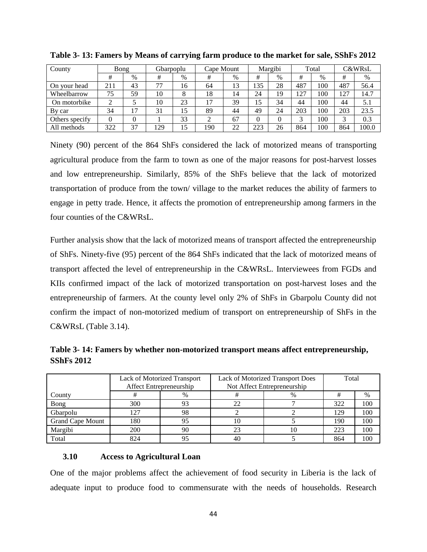| County         | Bong |      | Gbarpoplu |      | Cape Mount |      |          | Margibi |     | Total |     | C&WRsL |
|----------------|------|------|-----------|------|------------|------|----------|---------|-----|-------|-----|--------|
|                | #    | $\%$ | #         | $\%$ | #          | $\%$ | #        | $\%$    | #   | $\%$  | #   | %      |
| On your head   | 211  | 43   | 77        | 16   | 64         | 13   | 135      | 28      | 487 | 100   | 487 | 56.4   |
| Wheelbarrow    | 75   | 59   | 10        | 8    | 18         | 14   | 24       | 19      | 127 | 100   | 127 | 14.7   |
| On motorbike   | ◠    |      | 10        | 23   | 17         | 39   | 15       | 34      | 44  | 100   | 44  | 5.1    |
| By car         | 34   | 17   | 31        | 15   | 89         | 44   | 49       | 24      | 203 | 100   | 203 | 23.5   |
| Others specify |      |      |           | 33   | ◠          | 67   | $\Omega$ |         |     | 100   |     | 0.3    |
| All methods    | 322  | 37   | 129       | 15   | 190        | 22   | 223      | 26      | 864 | 100   | 864 | 100.0  |

**Table 3- 13: Famers by Means of carrying farm produce to the market for sale, SShFs 2012**

Ninety (90) percent of the 864 ShFs considered the lack of motorized means of transporting agricultural produce from the farm to town as one of the major reasons for post-harvest losses and low entrepreneurship. Similarly, 85% of the ShFs believe that the lack of motorized transportation of produce from the town/ village to the market reduces the ability of farmers to engage in petty trade. Hence, it affects the promotion of entrepreneurship among farmers in the four counties of the C&WRsL.

Further analysis show that the lack of motorized means of transport affected the entrepreneurship of ShFs. Ninety-five (95) percent of the 864 ShFs indicated that the lack of motorized means of transport affected the level of entrepreneurship in the C&WRsL. Interviewees from FGDs and KIIs confirmed impact of the lack of motorized transportation on post-harvest loses and the entrepreneurship of farmers. At the county level only 2% of ShFs in Gbarpolu County did not confirm the impact of non-motorized medium of transport on entrepreneurship of ShFs in the C&WRsL (Table 3.14).

<span id="page-43-1"></span>**Table 3- 14: Famers by whether non-motorized transport means affect entrepreneurship, SShFs 2012**

|                         | Affect Entrepreneurship | Lack of Motorized Transport | Lack of Motorized Transport Does<br>Not Affect Entrepreneurship | Total |     |      |
|-------------------------|-------------------------|-----------------------------|-----------------------------------------------------------------|-------|-----|------|
| County                  |                         | %                           | 뀨                                                               | %     |     | $\%$ |
| Bong                    | 300                     |                             | 22                                                              |       | 322 | 100  |
| Gbarpolu                | 127                     | 98                          |                                                                 |       | 129 | 100  |
| <b>Grand Cape Mount</b> | 180                     |                             | 10                                                              |       | 190 | 100  |
| Margibi                 | 200                     | 90                          | 23                                                              |       | 223 | 100  |
| Total                   | 824                     |                             | 40                                                              |       | 864 | 100  |

# <span id="page-43-0"></span>**3.10 Access to Agricultural Loan**

One of the major problems affect the achievement of food security in Liberia is the lack of adequate input to produce food to commensurate with the needs of households. Research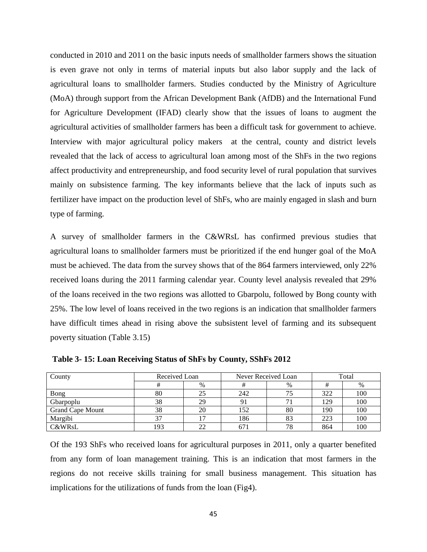conducted in 2010 and 2011 on the basic inputs needs of smallholder farmers shows the situation is even grave not only in terms of material inputs but also labor supply and the lack of agricultural loans to smallholder farmers. Studies conducted by the Ministry of Agriculture (MoA) through support from the African Development Bank (AfDB) and the International Fund for Agriculture Development (IFAD) clearly show that the issues of loans to augment the agricultural activities of smallholder farmers has been a difficult task for government to achieve. Interview with major agricultural policy makers at the central, county and district levels revealed that the lack of access to agricultural loan among most of the ShFs in the two regions affect productivity and entrepreneurship, and food security level of rural population that survives mainly on subsistence farming. The key informants believe that the lack of inputs such as fertilizer have impact on the production level of ShFs, who are mainly engaged in slash and burn type of farming.

A survey of smallholder farmers in the C&WRsL has confirmed previous studies that agricultural loans to smallholder farmers must be prioritized if the end hunger goal of the MoA must be achieved. The data from the survey shows that of the 864 farmers interviewed, only 22% received loans during the 2011 farming calendar year. County level analysis revealed that 29% of the loans received in the two regions was allotted to Gbarpolu, followed by Bong county with 25%. The low level of loans received in the two regions is an indication that smallholder farmers have difficult times ahead in rising above the subsistent level of farming and its subsequent poverty situation (Table 3.15)

| County                  | Received Loan |        |     | Never Received Loan | Total |      |  |
|-------------------------|---------------|--------|-----|---------------------|-------|------|--|
|                         |               | $\%$   |     | $\%$                |       | $\%$ |  |
| Bong                    | 80            | 25     | 242 |                     | 322   | 100  |  |
| Gbarpoplu               | 38            | 29     | 91  |                     | 129   | 100  |  |
| <b>Grand Cape Mount</b> | 38            | 20     | 152 | 80                  | 190   | 100  |  |
| Margibi                 |               |        | 186 | 83                  | 223   | 100  |  |
| <b>C&amp;WRsL</b>       | 193           | $\sim$ | 671 | 78                  | 864   | 100  |  |

<span id="page-44-0"></span>**Table 3- 15: Loan Receiving Status of ShFs by County, SShFs 2012**

Of the 193 ShFs who received loans for agricultural purposes in 2011, only a quarter benefited from any form of loan management training. This is an indication that most farmers in the regions do not receive skills training for small business management. This situation has implications for the utilizations of funds from the loan (Fig4).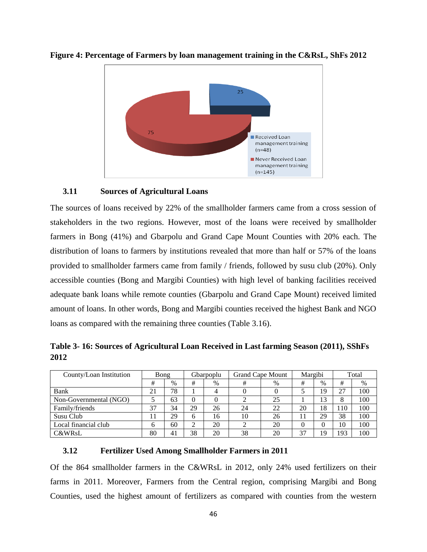

<span id="page-45-3"></span>**Figure 4: Percentage of Farmers by loan management training in the C&RsL, ShFs 2012**

## <span id="page-45-0"></span>**3.11 Sources of Agricultural Loans**

The sources of loans received by 22% of the smallholder farmers came from a cross session of stakeholders in the two regions. However, most of the loans were received by smallholder farmers in Bong (41%) and Gbarpolu and Grand Cape Mount Counties with 20% each. The distribution of loans to farmers by institutions revealed that more than half or 57% of the loans provided to smallholder farmers came from family / friends, followed by susu club (20%). Only accessible counties (Bong and Margibi Counties) with high level of banking facilities received adequate bank loans while remote counties (Gbarpolu and Grand Cape Mount) received limited amount of loans. In other words, Bong and Margibi counties received the highest Bank and NGO loans as compared with the remaining three counties (Table 3.16).

<span id="page-45-2"></span>**Table 3- 16: Sources of Agricultural Loan Received in Last farming Season (2011), SShFs 2012**

| County/Loan Institution |    | Bong |    | Gbarpoplu | <b>Grand Cape Mount</b> |      |    | Margibi |     | Total |
|-------------------------|----|------|----|-----------|-------------------------|------|----|---------|-----|-------|
|                         | #  | %    | #  | $\%$      | #                       | $\%$ | #  | $\%$    | #   | %     |
| Bank                    | 21 | 78   |    |           |                         |      |    | 19      | 27  | 100   |
| Non-Governmental (NGO)  |    | 63   |    |           |                         | 25   |    | 13      |     | 100   |
| Family/friends          | 37 | 34   | 29 | 26        | 24                      | 22   | 20 | 18      | 110 | 100   |
| Susu Club               |    | 29   | 6  | 16        | 10                      | 26   |    | 29      | 38  | 100   |
| Local financial club    | 6  | 60   | ◠  | 20        |                         | 20   |    |         | 10  | 100   |
| <b>C&amp;WRsL</b>       | 80 | 41   | 38 | 20        | 38                      | 20   | 37 | 19      | 193 | 100   |

# <span id="page-45-1"></span>**3.12 Fertilizer Used Among Smallholder Farmers in 2011**

Of the 864 smallholder farmers in the C&WRsL in 2012, only 24% used fertilizers on their farms in 2011. Moreover, Farmers from the Central region, comprising Margibi and Bong Counties, used the highest amount of fertilizers as compared with counties from the western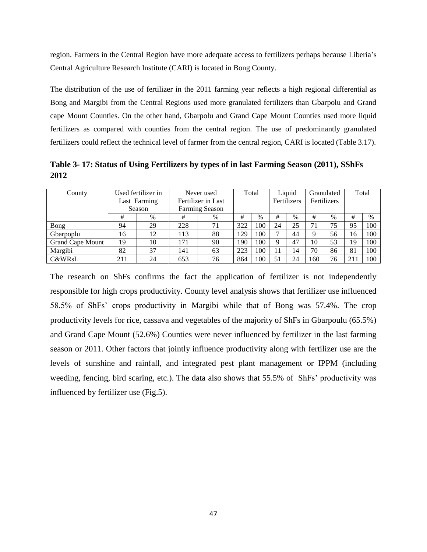region. Farmers in the Central Region have more adequate access to fertilizers perhaps because Liberia's Central Agriculture Research Institute (CARI) is located in Bong County.

The distribution of the use of fertilizer in the 2011 farming year reflects a high regional differential as Bong and Margibi from the Central Regions used more granulated fertilizers than Gbarpolu and Grand cape Mount Counties. On the other hand, Gbarpolu and Grand Cape Mount Counties used more liquid fertilizers as compared with counties from the central region. The use of predominantly granulated fertilizers could reflect the technical level of farmer from the central region, CARI is located (Table 3.17).

<span id="page-46-0"></span>**Table 3- 17: Status of Using Fertilizers by types of in last Farming Season (2011), SShFs 2012**

| County                  |     | Used fertilizer in | Never used |                       |     | Total |    | Liquid      | Granulated |             | Total |      |
|-------------------------|-----|--------------------|------------|-----------------------|-----|-------|----|-------------|------------|-------------|-------|------|
|                         |     | Last Farming       |            | Fertilizer in Last    |     |       |    | Fertilizers |            | Fertilizers |       |      |
|                         |     | Season             |            | <b>Farming Season</b> |     |       |    |             |            |             |       |      |
|                         | #   | $\%$               | #          | $\%$                  | #   | $\%$  | #  | $\%$        | #          | $\%$        | #     | $\%$ |
| Bong                    | 94  | 29                 | 228        | 71                    | 322 | 100   | 24 | 25          | 71         | 75          | 95    | 100  |
| Gbarpoplu               | 16  | 12                 | 113        | 88                    | 129 | 100   | ⇁  | 44          | Q          | 56          | 16    | 100  |
| <b>Grand Cape Mount</b> | 19  | 10                 | 171        | 90                    | 190 | 100   | 9  | 47          | 10         | 53          | 19    | 100  |
| Margibi                 | 82  | 37                 | 141        | 63                    | 223 | 100   | 11 | ،4          | 70         | 86          | 81    | 100  |
| <b>C&amp;WRsL</b>       | 211 | 24                 | 653        | 76                    | 864 | 100   | 51 | 24          | 160        | 76          | 21    | 100  |

<span id="page-46-1"></span>The research on ShFs confirms the fact the application of fertilizer is not independently responsible for high crops productivity. County level analysis shows that fertilizer use influenced 58.5% of ShFs' crops productivity in Margibi while that of Bong was 57.4%. The crop productivity levels for rice, cassava and vegetables of the majority of ShFs in Gbarpoulu (65.5%) and Grand Cape Mount (52.6%) Counties were never influenced by fertilizer in the last farming season or 2011. Other factors that jointly influence productivity along with fertilizer use are the levels of sunshine and rainfall, and integrated pest plant management or IPPM (including weeding, fencing, bird scaring, etc.). The data also shows that 55.5% of ShFs' productivity was influenced by fertilizer use (Fig.5).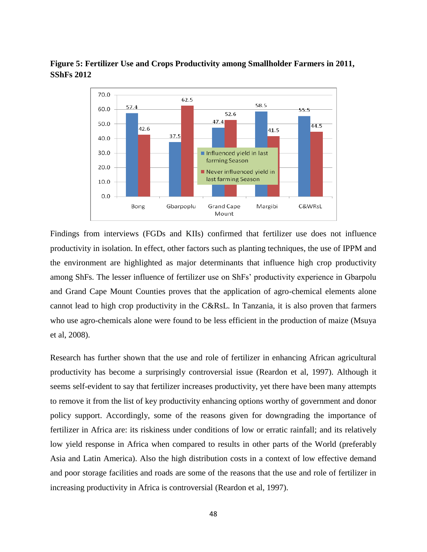# **Figure 5: Fertilizer Use and Crops Productivity among Smallholder Farmers in 2011, SShFs 2012**



Findings from interviews (FGDs and KIIs) confirmed that fertilizer use does not influence productivity in isolation. In effect, other factors such as planting techniques, the use of IPPM and the environment are highlighted as major determinants that influence high crop productivity among ShFs. The lesser influence of fertilizer use on ShFs' productivity experience in Gbarpolu and Grand Cape Mount Counties proves that the application of agro-chemical elements alone cannot lead to high crop productivity in the C&RsL. In Tanzania, it is also proven that farmers who use agro-chemicals alone were found to be less efficient in the production of maize (Msuya et al, 2008).

Research has further shown that the use and role of fertilizer in enhancing African agricultural productivity has become a surprisingly controversial issue (Reardon et al, 1997). Although it seems self-evident to say that fertilizer increases productivity, yet there have been many attempts to remove it from the list of key productivity enhancing options worthy of government and donor policy support. Accordingly, some of the reasons given for downgrading the importance of fertilizer in Africa are: its riskiness under conditions of low or erratic rainfall; and its relatively low yield response in Africa when compared to results in other parts of the World (preferably Asia and Latin America). Also the high distribution costs in a context of low effective demand and poor storage facilities and roads are some of the reasons that the use and role of fertilizer in increasing productivity in Africa is controversial (Reardon et al, 1997).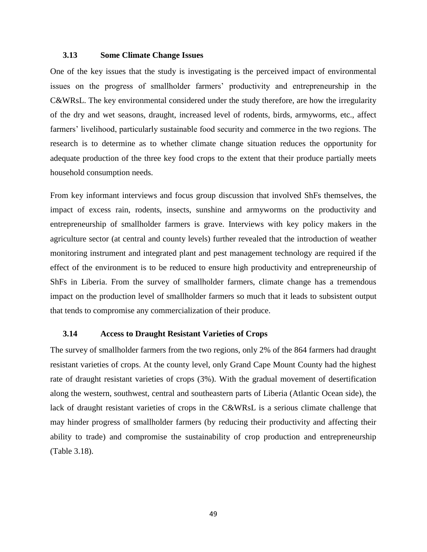## <span id="page-48-0"></span>**3.13 Some Climate Change Issues**

One of the key issues that the study is investigating is the perceived impact of environmental issues on the progress of smallholder farmers' productivity and entrepreneurship in the C&WRsL. The key environmental considered under the study therefore, are how the irregularity of the dry and wet seasons, draught, increased level of rodents, birds, armyworms, etc., affect farmers' livelihood, particularly sustainable food security and commerce in the two regions. The research is to determine as to whether climate change situation reduces the opportunity for adequate production of the three key food crops to the extent that their produce partially meets household consumption needs.

From key informant interviews and focus group discussion that involved ShFs themselves, the impact of excess rain, rodents, insects, sunshine and armyworms on the productivity and entrepreneurship of smallholder farmers is grave. Interviews with key policy makers in the agriculture sector (at central and county levels) further revealed that the introduction of weather monitoring instrument and integrated plant and pest management technology are required if the effect of the environment is to be reduced to ensure high productivity and entrepreneurship of ShFs in Liberia. From the survey of smallholder farmers, climate change has a tremendous impact on the production level of smallholder farmers so much that it leads to subsistent output that tends to compromise any commercialization of their produce.

# <span id="page-48-1"></span>**3.14 Access to Draught Resistant Varieties of Crops**

<span id="page-48-2"></span>The survey of smallholder farmers from the two regions, only 2% of the 864 farmers had draught resistant varieties of crops. At the county level, only Grand Cape Mount County had the highest rate of draught resistant varieties of crops (3%). With the gradual movement of desertification along the western, southwest, central and southeastern parts of Liberia (Atlantic Ocean side), the lack of draught resistant varieties of crops in the C&WRsL is a serious climate challenge that may hinder progress of smallholder farmers (by reducing their productivity and affecting their ability to trade) and compromise the sustainability of crop production and entrepreneurship (Table 3.18).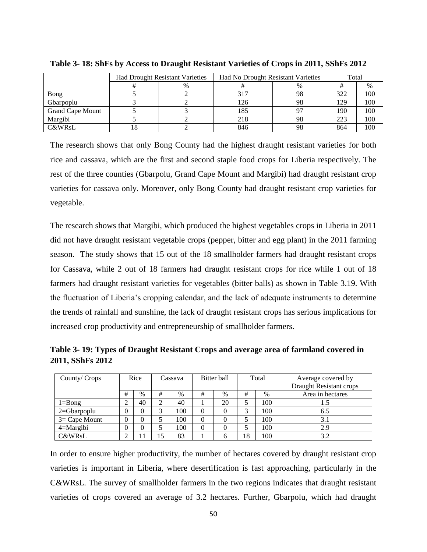|                         |    | <b>Had Drought Resistant Varieties</b> | Had No Drought Resistant Varieties | Total |     |      |
|-------------------------|----|----------------------------------------|------------------------------------|-------|-----|------|
|                         |    | $\%$                                   |                                    | $\%$  |     | $\%$ |
| Bong                    |    |                                        | 317                                | 98    | 322 | 100  |
| Gbarpoplu               |    |                                        | 126                                | 98    | 129 | 100  |
| <b>Grand Cape Mount</b> |    |                                        | 185                                |       | 190 | 100  |
| Margibi                 |    |                                        | 218                                | 98    | 223 | 100  |
| <b>C&amp;WRsL</b>       | ιŏ |                                        | 846                                | 98    | 864 | 100  |

**Table 3- 18: ShFs by Access to Draught Resistant Varieties of Crops in 2011, SShFs 2012**

The research shows that only Bong County had the highest draught resistant varieties for both rice and cassava, which are the first and second staple food crops for Liberia respectively. The rest of the three counties (Gbarpolu, Grand Cape Mount and Margibi) had draught resistant crop varieties for cassava only. Moreover, only Bong County had draught resistant crop varieties for vegetable.

The research shows that Margibi, which produced the highest vegetables crops in Liberia in 2011 did not have draught resistant vegetable crops (pepper, bitter and egg plant) in the 2011 farming season. The study shows that 15 out of the 18 smallholder farmers had draught resistant crops for Cassava, while 2 out of 18 farmers had draught resistant crops for rice while 1 out of 18 farmers had draught resistant varieties for vegetables (bitter balls) as shown in Table 3.19. With the fluctuation of Liberia's cropping calendar, and the lack of adequate instruments to determine the trends of rainfall and sunshine, the lack of draught resistant crops has serious implications for increased crop productivity and entrepreneurship of smallholder farmers.

<span id="page-49-0"></span>**Table 3- 19: Types of Draught Resistant Crops and average area of farmland covered in 2011, SShFs 2012**

| County/ Crops    |   | Rice |   | Bitter ball<br>Cassava |   |      | Total | Average covered by<br>Draught Resistant crops |                  |
|------------------|---|------|---|------------------------|---|------|-------|-----------------------------------------------|------------------|
|                  | # | $\%$ | # | $\%$                   | # | $\%$ | #     | $\%$                                          | Area in hectares |
| $1 = B$ ong      |   | 40   |   | 40                     |   | 20   |       | 100                                           |                  |
| $2 = Gbar$ poplu | 0 | 0    | ⌒ | 100                    |   |      | ⌒     | 100                                           | 6.5              |
| $3=$ Cape Mount  | 0 | 0    |   | 100                    | 0 | 0    |       | 100                                           | 3.1              |
| $4 =$ Margibi    | 0 | 0    |   | 100                    |   | 0    |       | 100                                           | 2.9              |
| C&WRsL           |   |      |   | 83                     |   | O    | 18    | 100                                           | 3.2              |

In order to ensure higher productivity, the number of hectares covered by draught resistant crop varieties is important in Liberia, where desertification is fast approaching, particularly in the C&WRsL. The survey of smallholder farmers in the two regions indicates that draught resistant varieties of crops covered an average of 3.2 hectares. Further, Gbarpolu, which had draught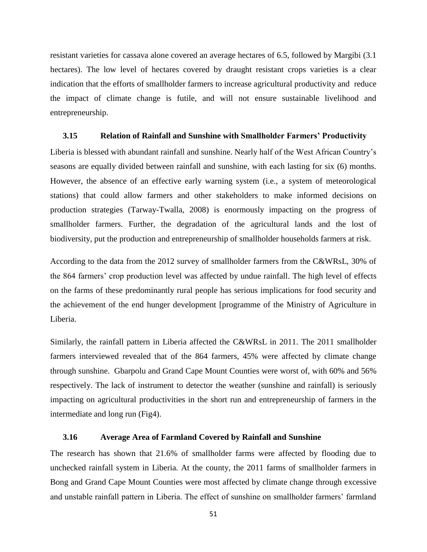resistant varieties for cassava alone covered an average hectares of 6.5, followed by Margibi (3.1 hectares). The low level of hectares covered by draught resistant crops varieties is a clear indication that the efforts of smallholder farmers to increase agricultural productivity and reduce the impact of climate change is futile, and will not ensure sustainable livelihood and entrepreneurship.

#### <span id="page-50-0"></span>**3.15 Relation of Rainfall and Sunshine with Smallholder Farmers' Productivity**

Liberia is blessed with abundant rainfall and sunshine. Nearly half of the West African Country's seasons are equally divided between rainfall and sunshine, with each lasting for six (6) months. However, the absence of an effective early warning system (i.e., a system of meteorological stations) that could allow farmers and other stakeholders to make informed decisions on production strategies (Tarway-Twalla, 2008) is enormously impacting on the progress of smallholder farmers. Further, the degradation of the agricultural lands and the lost of biodiversity, put the production and entrepreneurship of smallholder households farmers at risk.

According to the data from the 2012 survey of smallholder farmers from the C&WRsL, 30% of the 864 farmers' crop production level was affected by undue rainfall. The high level of effects on the farms of these predominantly rural people has serious implications for food security and the achievement of the end hunger development [programme of the Ministry of Agriculture in Liberia.

Similarly, the rainfall pattern in Liberia affected the C&WRsL in 2011. The 2011 smallholder farmers interviewed revealed that of the 864 farmers, 45% were affected by climate change through sunshine. Gbarpolu and Grand Cape Mount Counties were worst of, with 60% and 56% respectively. The lack of instrument to detector the weather (sunshine and rainfall) is seriously impacting on agricultural productivities in the short run and entrepreneurship of farmers in the intermediate and long run (Fig4).

## <span id="page-50-1"></span>**3.16 Average Area of Farmland Covered by Rainfall and Sunshine**

The research has shown that 21.6% of smallholder farms were affected by flooding due to unchecked rainfall system in Liberia. At the county, the 2011 farms of smallholder farmers in Bong and Grand Cape Mount Counties were most affected by climate change through excessive and unstable rainfall pattern in Liberia. The effect of sunshine on smallholder farmers' farmland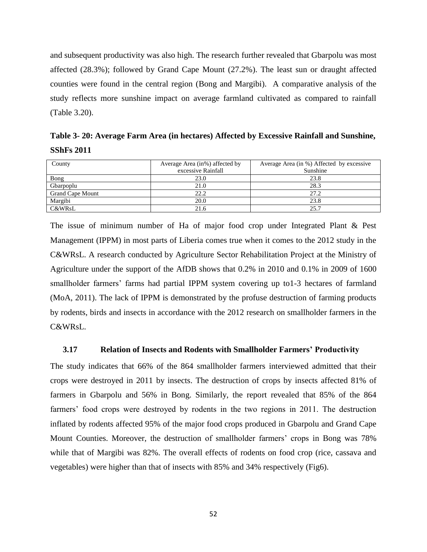and subsequent productivity was also high. The research further revealed that Gbarpolu was most affected (28.3%); followed by Grand Cape Mount (27.2%). The least sun or draught affected counties were found in the central region (Bong and Margibi). A comparative analysis of the study reflects more sunshine impact on average farmland cultivated as compared to rainfall (Table 3.20).

<span id="page-51-1"></span>**Table 3- 20: Average Farm Area (in hectares) Affected by Excessive Rainfall and Sunshine, SShFs 2011**

| County                  | Average Area (in%) affected by | Average Area (in %) Affected by excessive |
|-------------------------|--------------------------------|-------------------------------------------|
|                         | excessive Rainfall             | Sunshine                                  |
| Bong                    | 23.0                           | 23.8                                      |
| Gbarpoplu               | 21.0                           | 28.3                                      |
| <b>Grand Cape Mount</b> | 22.2                           | 27.2                                      |
| Margibi                 | 20.0                           | 23.8                                      |
| C&WRsL                  | 21.6                           | 25.7                                      |

The issue of minimum number of Ha of major food crop under Integrated Plant & Pest Management (IPPM) in most parts of Liberia comes true when it comes to the 2012 study in the C&WRsL. A research conducted by Agriculture Sector Rehabilitation Project at the Ministry of Agriculture under the support of the AfDB shows that 0.2% in 2010 and 0.1% in 2009 of 1600 smallholder farmers' farms had partial IPPM system covering up to1-3 hectares of farmland (MoA, 2011). The lack of IPPM is demonstrated by the profuse destruction of farming products by rodents, birds and insects in accordance with the 2012 research on smallholder farmers in the C&WRsL.

## <span id="page-51-0"></span>**3.17 Relation of Insects and Rodents with Smallholder Farmers' Productivity**

<span id="page-51-2"></span>The study indicates that 66% of the 864 smallholder farmers interviewed admitted that their crops were destroyed in 2011 by insects. The destruction of crops by insects affected 81% of farmers in Gbarpolu and 56% in Bong. Similarly, the report revealed that 85% of the 864 farmers' food crops were destroyed by rodents in the two regions in 2011. The destruction inflated by rodents affected 95% of the major food crops produced in Gbarpolu and Grand Cape Mount Counties. Moreover, the destruction of smallholder farmers' crops in Bong was 78% while that of Margibi was 82%. The overall effects of rodents on food crop (rice, cassava and vegetables) were higher than that of insects with 85% and 34% respectively (Fig6).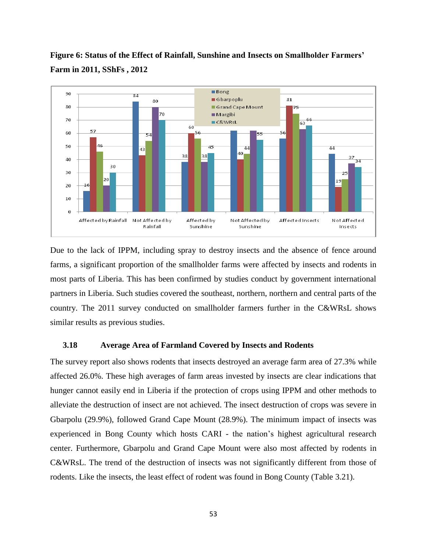

**Figure 6: Status of the Effect of Rainfall, Sunshine and Insects on Smallholder Farmers' Farm in 2011, SShFs , 2012**

Due to the lack of IPPM, including spray to destroy insects and the absence of fence around farms, a significant proportion of the smallholder farms were affected by insects and rodents in most parts of Liberia. This has been confirmed by studies conduct by government international partners in Liberia. Such studies covered the southeast, northern, northern and central parts of the country. The 2011 survey conducted on smallholder farmers further in the C&WRsL shows similar results as previous studies.

# <span id="page-52-0"></span>**3.18 Average Area of Farmland Covered by Insects and Rodents**

The survey report also shows rodents that insects destroyed an average farm area of 27.3% while affected 26.0%. These high averages of farm areas invested by insects are clear indications that hunger cannot easily end in Liberia if the protection of crops using IPPM and other methods to alleviate the destruction of insect are not achieved. The insect destruction of crops was severe in Gbarpolu (29.9%), followed Grand Cape Mount (28.9%). The minimum impact of insects was experienced in Bong County which hosts CARI - the nation's highest agricultural research center. Furthermore, Gbarpolu and Grand Cape Mount were also most affected by rodents in C&WRsL. The trend of the destruction of insects was not significantly different from those of rodents. Like the insects, the least effect of rodent was found in Bong County (Table 3.21).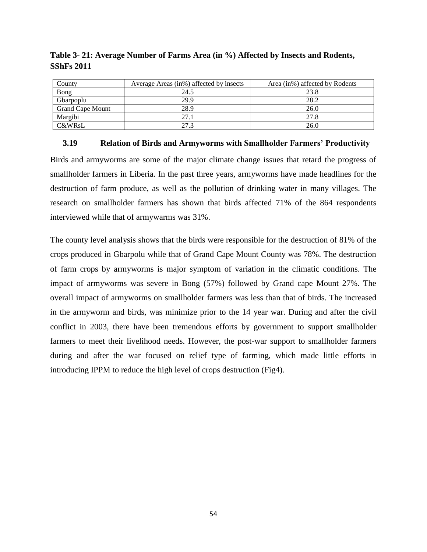| County                  | Average Areas (in%) affected by insects | Area (in%) affected by Rodents |
|-------------------------|-----------------------------------------|--------------------------------|
| <b>Bong</b>             | 24.5                                    | 23.8                           |
| Gbarpoplu               | 29.9                                    | 28.2                           |
| <b>Grand Cape Mount</b> | 28.9                                    | 26.0                           |
| Margibi                 | 27.1                                    | 27.8                           |
| <b>C&amp;WRsL</b>       | 27 3                                    | 26.0                           |

<span id="page-53-1"></span>**Table 3- 21: Average Number of Farms Area (in %) Affected by Insects and Rodents, SShFs 2011**

# <span id="page-53-0"></span>**3.19 Relation of Birds and Armyworms with Smallholder Farmers' Productivity**

Birds and armyworms are some of the major climate change issues that retard the progress of smallholder farmers in Liberia. In the past three years, armyworms have made headlines for the destruction of farm produce, as well as the pollution of drinking water in many villages. The research on smallholder farmers has shown that birds affected 71% of the 864 respondents interviewed while that of armywarms was 31%.

<span id="page-53-2"></span>The county level analysis shows that the birds were responsible for the destruction of 81% of the crops produced in Gbarpolu while that of Grand Cape Mount County was 78%. The destruction of farm crops by armyworms is major symptom of variation in the climatic conditions. The impact of armyworms was severe in Bong (57%) followed by Grand cape Mount 27%. The overall impact of armyworms on smallholder farmers was less than that of birds. The increased in the armyworm and birds, was minimize prior to the 14 year war. During and after the civil conflict in 2003, there have been tremendous efforts by government to support smallholder farmers to meet their livelihood needs. However, the post-war support to smallholder farmers during and after the war focused on relief type of farming, which made little efforts in introducing IPPM to reduce the high level of crops destruction (Fig4).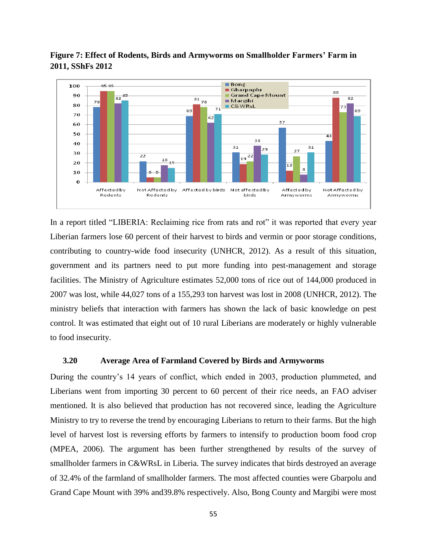

**Figure 7: Effect of Rodents, Birds and Armyworms on Smallholder Farmers' Farm in 2011, SShFs 2012**

In a report titled "LIBERIA: Reclaiming rice from rats and rot" it was reported that every year Liberian farmers lose 60 percent of their harvest to birds and vermin or poor storage conditions, contributing to country-wide food insecurity (UNHCR, 2012). As a result of this situation, government and its partners need to put more funding into pest-management and storage facilities. The Ministry of Agriculture estimates 52,000 tons of rice out of 144,000 produced in 2007 was lost, while 44,027 tons of a 155,293 ton harvest was lost in 2008 (UNHCR, 2012). The ministry beliefs that interaction with farmers has shown the lack of basic knowledge on pest control. It was estimated that eight out of 10 rural Liberians are moderately or highly vulnerable to food insecurity.

# <span id="page-54-0"></span>**3.20 Average Area of Farmland Covered by Birds and Armyworms**

During the country's 14 years of conflict, which ended in 2003, production plummeted, and Liberians went from importing 30 percent to 60 percent of their rice needs, an FAO adviser mentioned. It is also believed that production has not recovered since, leading the Agriculture Ministry to try to reverse the trend by encouraging Liberians to return to their farms. But the high level of harvest lost is reversing efforts by farmers to intensify to production boom food crop (MPEA, 2006). The argument has been further strengthened by results of the survey of smallholder farmers in C&WRsL in Liberia. The survey indicates that birds destroyed an average of 32.4% of the farmland of smallholder farmers. The most affected counties were Gbarpolu and Grand Cape Mount with 39% and39.8% respectively. Also, Bong County and Margibi were most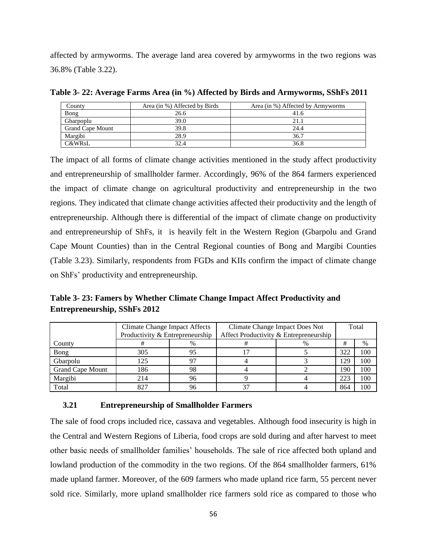affected by armyworms. The average land area covered by armyworms in the two regions was 36.8% (Table 3.22).

| County                  | Area (in %) Affected by Birds | Area (in %) Affected by Armyworms |
|-------------------------|-------------------------------|-----------------------------------|
| Bong                    | 26.6                          | 41.6                              |
| Gbarpoplu               | 39.0                          | 21.1                              |
| <b>Grand Cape Mount</b> | 39.8                          | 24.4                              |
| Margibi                 | 28.9                          | 36.7                              |
| C&WRsL                  | 32.4                          | 36.8                              |

<span id="page-55-1"></span>**Table 3- 22: Average Farms Area (in %) Affected by Birds and Armyworms, SShFs 2011**

The impact of all forms of climate change activities mentioned in the study affect productivity and entrepreneurship of smallholder farmer. Accordingly, 96% of the 864 farmers experienced the impact of climate change on agricultural productivity and entrepreneurship in the two regions. They indicated that climate change activities affected their productivity and the length of entrepreneurship. Although there is differential of the impact of climate change on productivity and entrepreneurship of ShFs, it is heavily felt in the Western Region (Gbarpolu and Grand Cape Mount Counties) than in the Central Regional counties of Bong and Margibi Counties (Table 3.23). Similarly, respondents from FGDs and KIIs confirm the impact of climate change on ShFs' productivity and entrepreneurship.

<span id="page-55-2"></span>**Table 3- 23: Famers by Whether Climate Change Impact Affect Productivity and Entrepreneurship, SShFs 2012**

|                         | <b>Climate Change Impact Affects</b><br>Productivity & Entrepreneurship |      | Climate Change Impact Does Not<br>Affect Productivity & Entrepreneurship | Total |     |      |
|-------------------------|-------------------------------------------------------------------------|------|--------------------------------------------------------------------------|-------|-----|------|
| County                  |                                                                         | $\%$ |                                                                          | %     | #   | $\%$ |
| Bong                    | 305                                                                     | 95   |                                                                          |       | 322 | 100  |
| Gbarpolu                | 125                                                                     | 97   |                                                                          |       | 129 | 100  |
| <b>Grand Cape Mount</b> | 186                                                                     | 98   |                                                                          |       | 190 | 100  |
| Margibi                 | 214                                                                     | 96   |                                                                          |       | 223 | 100  |
| Total                   |                                                                         | 96   |                                                                          |       | 864 | 100  |

## <span id="page-55-0"></span>**3.21 Entrepreneurship of Smallholder Farmers**

The sale of food crops included rice, cassava and vegetables. Although food insecurity is high in the Central and Western Regions of Liberia, food crops are sold during and after harvest to meet other basic needs of smallholder families' households. The sale of rice affected both upland and lowland production of the commodity in the two regions. Of the 864 smallholder farmers, 61% made upland farmer. Moreover, of the 609 farmers who made upland rice farm, 55 percent never sold rice. Similarly, more upland smallholder rice farmers sold rice as compared to those who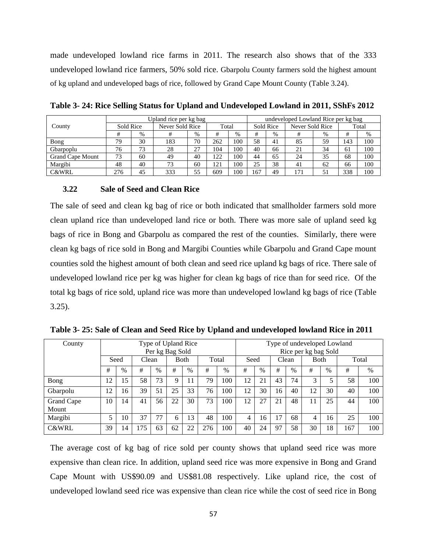made undeveloped lowland rice farms in 2011. The research also shows that of the 333 undeveloped lowland rice farmers, 50% sold rice. Gbarpolu County farmers sold the highest amount of kg upland and undeveloped bags of rice, followed by Grand Cape Mount County (Table 3.24).

|                         | Upland rice per kg bag |      |                 |      |       |      |           | undeveloped Lowland Rice per kg bag |                 |      |       |     |  |  |
|-------------------------|------------------------|------|-----------------|------|-------|------|-----------|-------------------------------------|-----------------|------|-------|-----|--|--|
| County                  | Sold Rice              |      | Never Sold Rice |      | Total |      | Sold Rice |                                     | Never Sold Rice |      | Total |     |  |  |
|                         |                        | $\%$ |                 | $\%$ | #     | $\%$ |           | $\%$                                | #               | $\%$ | #     | %   |  |  |
| Bong                    | 79                     | 30   | 183             | 70   | 262   | 100  | 58        | 41                                  | 85              | 59   | 143   | 100 |  |  |
| Gbarpoplu               | 76                     | 73   | 28              | 27   | 104   | 100  | 40        | 66                                  | 21              | 34   | 61    | 100 |  |  |
| <b>Grand Cape Mount</b> | 73                     | 60   | 49              | 40   | 122   | 100  | 44        | 65                                  | 24              | 35   | 68    | 100 |  |  |
| Margibi                 | 48                     | 40   | 73              | 60   | 121   | 100  | 25        | 38                                  | 41              | 62   | 66    | 100 |  |  |
| <b>C&amp;WRL</b>        | 276                    | 45   | 333             | 55   | 609   | 100  | 167       | 49                                  | $17^{1}$        | 51   | 338   | 100 |  |  |

<span id="page-56-1"></span>**Table 3- 24: Rice Selling Status for Upland and Undeveloped Lowland in 2011, SShFs 2012**

## <span id="page-56-0"></span>**3.22 Sale of Seed and Clean Rice**

The sale of seed and clean kg bag of rice or both indicated that smallholder farmers sold more clean upland rice than undeveloped land rice or both. There was more sale of upland seed kg bags of rice in Bong and Gbarpolu as compared the rest of the counties. Similarly, there were clean kg bags of rice sold in Bong and Margibi Counties while Gbarpolu and Grand Cape mount counties sold the highest amount of both clean and seed rice upland kg bags of rice. There sale of undeveloped lowland rice per kg was higher for clean kg bags of rice than for seed rice. Of the total kg bags of rice sold, upland rice was more than undeveloped lowland kg bags of rice (Table 3.25).

| County           | Type of Upland Rice |      |    |             |    |       |     | Type of undeveloped Lowland<br>Rice per kg bag Sold |    |      |               |      |    |      |       |      |
|------------------|---------------------|------|----|-------------|----|-------|-----|-----------------------------------------------------|----|------|---------------|------|----|------|-------|------|
|                  | Per kg Bag Sold     |      |    |             |    |       |     |                                                     |    |      |               |      |    |      |       |      |
|                  | Seed<br>Clean       |      |    | <b>Both</b> |    | Total |     | Seed                                                |    |      | Clean         | Both |    |      | Total |      |
|                  | #                   | $\%$ | #  | $\%$        | #  | $\%$  | #   | %                                                   | #  | $\%$ | #             | $\%$ | #  | $\%$ | #     | $\%$ |
| Bong             | 12                  | 15   | 58 | 73          | Q  |       | 79  | 100                                                 | 12 | 21   | 43            | 74   | 3  |      | 58    | 100  |
| Gbarpolu         | 12                  | 16   | 39 | 51          | 25 | 33    | 76  | 100                                                 | 12 | 30   | 16            | 40   | 12 | 30   | 40    | 100  |
| Grand Cape       | 10                  | 14   | 41 | 56          | 22 | 30    | 73  | 100                                                 | 12 | 27   | 21            | 48   | 11 | 25   | 44    | 100  |
| Mount            |                     |      |    |             |    |       |     |                                                     |    |      |               |      |    |      |       |      |
| Margibi          | 5                   | 10   | 37 | 77          | 6  | 13    | 48  | 100                                                 | 4  | 16   | $\mathcal{L}$ | 68   | 4  | 16   | 25    | 100  |
| <b>C&amp;WRL</b> | 39                  | 14   | 75 | 63          | 62 | 22    | 276 | 100                                                 | 40 | 24   | 97            | 58   | 30 | 18   | 167   | 100  |

<span id="page-56-2"></span>**Table 3- 25: Sale of Clean and Seed Rice by Upland and undeveloped lowland Rice in 2011**

The average cost of kg bag of rice sold per county shows that upland seed rice was more expensive than clean rice. In addition, upland seed rice was more expensive in Bong and Grand Cape Mount with US\$90.09 and US\$81.08 respectively. Like upland rice, the cost of undeveloped lowland seed rice was expensive than clean rice while the cost of seed rice in Bong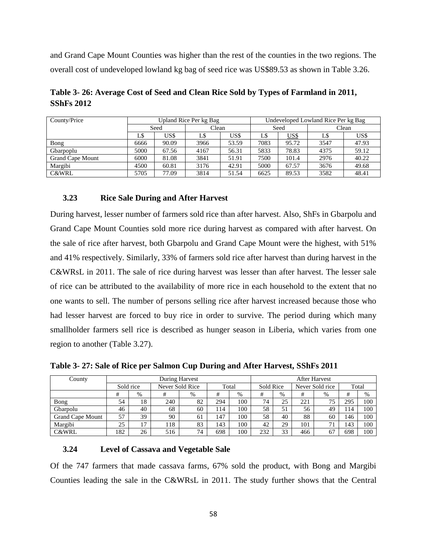and Grand Cape Mount Counties was higher than the rest of the counties in the two regions. The overall cost of undeveloped lowland kg bag of seed rice was US\$89.53 as shown in Table 3.26.

| County/Price            |      |       | Upland Rice Per kg Bag |       | Undeveloped Lowland Rice Per kg Bag |             |       |       |  |
|-------------------------|------|-------|------------------------|-------|-------------------------------------|-------------|-------|-------|--|
|                         | Seed |       | Clean                  |       | Seed                                |             | Clean |       |  |
|                         | LS   | US\$  | LS                     | US\$  | L\$                                 | <u>US\$</u> | LS    | US\$  |  |
| Bong                    | 6666 | 90.09 | 3966                   | 53.59 | 7083                                | 95.72       | 3547  | 47.93 |  |
| Gbarpoplu               | 5000 | 67.56 | 4167                   | 56.31 | 5833                                | 78.83       | 4375  | 59.12 |  |
| <b>Grand Cape Mount</b> | 6000 | 81.08 | 3841                   | 51.91 | 7500                                | 101.4       | 2976  | 40.22 |  |
| Margibi                 | 4500 | 60.81 | 3176                   | 42.91 | 5000                                | 67.57       | 3676  | 49.68 |  |
| <b>C&amp;WRL</b>        | 5705 | 77.09 | 3814                   | 51.54 | 6625                                | 89.53       | 3582  | 48.41 |  |

<span id="page-57-2"></span>**Table 3- 26: Average Cost of Seed and Clean Rice Sold by Types of Farmland in 2011, SShFs 2012**

# <span id="page-57-0"></span>**3.23 Rice Sale During and After Harvest**

During harvest, lesser number of farmers sold rice than after harvest. Also, ShFs in Gbarpolu and Grand Cape Mount Counties sold more rice during harvest as compared with after harvest. On the sale of rice after harvest, both Gbarpolu and Grand Cape Mount were the highest, with 51% and 41% respectively. Similarly, 33% of farmers sold rice after harvest than during harvest in the C&WRsL in 2011. The sale of rice during harvest was lesser than after harvest. The lesser sale of rice can be attributed to the availability of more rice in each household to the extent that no one wants to sell. The number of persons selling rice after harvest increased because those who had lesser harvest are forced to buy rice in order to survive. The period during which many smallholder farmers sell rice is described as hunger season in Liberia, which varies from one region to another (Table 3.27).

<span id="page-57-3"></span>

|              | Table 3-27: Sale of Rice per Salmon Cup During and After Harvest, SShFs 2011 |                       |
|--------------|------------------------------------------------------------------------------|-----------------------|
| $C_{\rm QU}$ | During Harvest                                                               | $\Delta$ fter Harvest |

| County                  |           | During Harvest |     |                          |     |      |           |      | <b>After Harvest</b> |                |       |      |  |  |
|-------------------------|-----------|----------------|-----|--------------------------|-----|------|-----------|------|----------------------|----------------|-------|------|--|--|
|                         | Sold rice |                |     | Never Sold Rice<br>Total |     |      | Sold Rice |      | Never Sold rice      |                | Total |      |  |  |
|                         |           | $\%$           |     | $\%$                     | #   | $\%$ | #         | $\%$ | #                    | %              | #     | $\%$ |  |  |
| Bong                    | 54        | 18             | 240 | 82                       | 294 | 100  | 74        | 25   | 221                  | 75             | 295   | 100  |  |  |
| Gbarpolu                | 46        | 40             | 68  | 60                       | 114 | 100  | 58        | 51   | 56                   | 49             | 114   | 100  |  |  |
| <b>Grand Cape Mount</b> | 57        | 39             | 90  | 61                       | 147 | 100  | 58        | 40   | 88                   | 60             | 146   | 100  |  |  |
| Margibi                 | 25        | 17             | 118 | 83                       | 143 | 100  | 42        | 29   | 101                  | 7 <sup>1</sup> | 143   | 100  |  |  |
| <b>C&amp;WRL</b>        | 182       | 26             | 516 | 74                       | 698 | 100  | 232       | 33   | 466                  | 67             | 698   | 100  |  |  |

# <span id="page-57-1"></span>**3.24 Level of Cassava and Vegetable Sale**

Of the 747 farmers that made cassava farms, 67% sold the product, with Bong and Margibi Counties leading the sale in the C&WRsL in 2011. The study further shows that the Central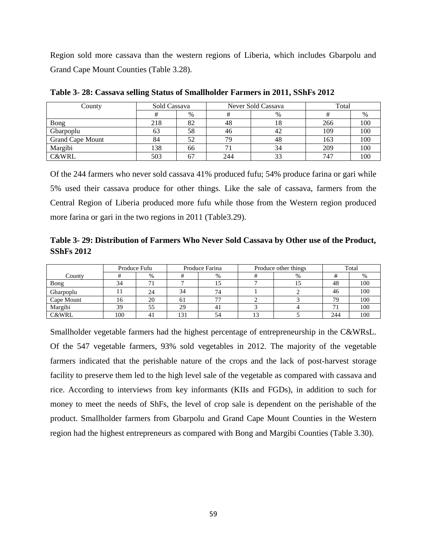Region sold more cassava than the western regions of Liberia, which includes Gbarpolu and Grand Cape Mount Counties (Table 3.28).

| County           | Sold Cassava |      |     | Never Sold Cassava | Total |     |  |
|------------------|--------------|------|-----|--------------------|-------|-----|--|
|                  |              | $\%$ |     | %                  |       | %   |  |
| Bong             | 218          | 82   | 48  | 18                 | 266   | 100 |  |
| Gbarpoplu        | 63           | 58   | 46  | 42                 | 109   | 100 |  |
| Grand Cape Mount | 84           | 52   | 79  | 48                 | 163   | 100 |  |
| Margibi          | 138          | 66   |     | 34                 | 209   | 100 |  |
| <b>C&amp;WRL</b> | 503          | 67   | 244 | 33                 | 747   | 100 |  |

<span id="page-58-0"></span>**Table 3- 28: Cassava selling Status of Smallholder Farmers in 2011, SShFs 2012**

Of the 244 farmers who never sold cassava 41% produced fufu; 54% produce farina or gari while 5% used their cassava produce for other things. Like the sale of cassava, farmers from the Central Region of Liberia produced more fufu while those from the Western region produced more farina or gari in the two regions in 2011 (Table3.29).

<span id="page-58-1"></span>**Table 3- 29: Distribution of Farmers Who Never Sold Cassava by Other use of the Product, SShFs 2012**

|                  |     | Produce Fufu |     | Produce Farina |  | Produce other things | Total |     |  |
|------------------|-----|--------------|-----|----------------|--|----------------------|-------|-----|--|
| County           |     | $\%$         |     | %              |  | %                    |       | 70  |  |
| Bong             | 34  |              |     |                |  |                      | 48    | 100 |  |
| Gbarpoplu        |     | 24           | 34  | 74             |  |                      | 46    | 100 |  |
| Cape Mount       | 16  | 20           | 61  | 77             |  |                      | 79    | 100 |  |
| Margibi          | 39  | 55           | 29  | 41             |  |                      |       | 100 |  |
| <b>C&amp;WRL</b> | 100 |              | 131 | 54             |  |                      | 244   | 100 |  |

<span id="page-58-2"></span>Smallholder vegetable farmers had the highest percentage of entrepreneurship in the C&WRsL. Of the 547 vegetable farmers, 93% sold vegetables in 2012. The majority of the vegetable farmers indicated that the perishable nature of the crops and the lack of post-harvest storage facility to preserve them led to the high level sale of the vegetable as compared with cassava and rice. According to interviews from key informants (KIIs and FGDs), in addition to such for money to meet the needs of ShFs, the level of crop sale is dependent on the perishable of the product. Smallholder farmers from Gbarpolu and Grand Cape Mount Counties in the Western region had the highest entrepreneurs as compared with Bong and Margibi Counties (Table 3.30).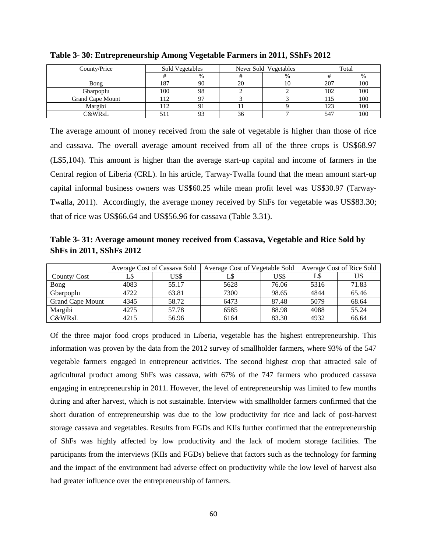| County/Price     | Sold Vegetables<br>Never Sold Vegetables |                |    | Total |     |     |
|------------------|------------------------------------------|----------------|----|-------|-----|-----|
|                  |                                          | $\%$           |    | $\%$  |     | %   |
| Bong             | 187                                      | 90             | 20 | 10    | 207 | 100 |
| Gbarpoplu        | 100                                      | 98             |    |       | 102 | 100 |
| Grand Cape Mount | 112                                      | Q <sub>7</sub> |    |       |     | 100 |
| Margibi          | 12                                       | 91             |    |       | 123 | 100 |
| C&WRsL           |                                          | 93             | 36 |       | 547 | 100 |

**Table 3- 30: Entrepreneurship Among Vegetable Farmers in 2011, SShFs 2012**

The average amount of money received from the sale of vegetable is higher than those of rice and cassava. The overall average amount received from all of the three crops is US\$68.97 (L\$5,104). This amount is higher than the average start-up capital and income of farmers in the Central region of Liberia (CRL). In his article, Tarway-Twalla found that the mean amount start-up capital informal business owners was US\$60.25 while mean profit level was US\$30.97 (Tarway-Twalla, 2011). Accordingly, the average money received by ShFs for vegetable was US\$83.30; that of rice was US\$66.64 and US\$56.96 for cassava (Table 3.31).

<span id="page-59-0"></span>**Table 3- 31: Average amount money received from Cassava, Vegetable and Rice Sold by ShFs in 2011, SShFs 2012**

|                         |      | Average Cost of Cassava Sold | Average Cost of Vegetable Sold |       | Average Cost of Rice Sold |       |  |
|-------------------------|------|------------------------------|--------------------------------|-------|---------------------------|-------|--|
| County/Cost             | L\$  | US\$                         |                                | US\$  | LS                        | US    |  |
| Bong                    | 4083 | 55.17                        | 5628                           | 76.06 | 5316                      | 71.83 |  |
| Gbarpoplu               | 4722 | 63.81                        | 7300                           | 98.65 | 4844                      | 65.46 |  |
| <b>Grand Cape Mount</b> | 4345 | 58.72                        | 6473                           | 87.48 | 5079                      | 68.64 |  |
| Margibi                 | 4275 | 57.78                        | 6585                           | 88.98 | 4088                      | 55.24 |  |
| C&WRsL                  | 4215 | 56.96                        | 6164                           | 83.30 | 4932                      | 66.64 |  |

<span id="page-59-1"></span>Of the three major food crops produced in Liberia, vegetable has the highest entrepreneurship. This information was proven by the data from the 2012 survey of smallholder farmers, where 93% of the 547 vegetable farmers engaged in entrepreneur activities. The second highest crop that attracted sale of agricultural product among ShFs was cassava, with 67% of the 747 farmers who produced cassava engaging in entrepreneurship in 2011. However, the level of entrepreneurship was limited to few months during and after harvest, which is not sustainable. Interview with smallholder farmers confirmed that the short duration of entrepreneurship was due to the low productivity for rice and lack of post-harvest storage cassava and vegetables. Results from FGDs and KIIs further confirmed that the entrepreneurship of ShFs was highly affected by low productivity and the lack of modern storage facilities. The participants from the interviews (KIIs and FGDs) believe that factors such as the technology for farming and the impact of the environment had adverse effect on productivity while the low level of harvest also had greater influence over the entrepreneurship of farmers.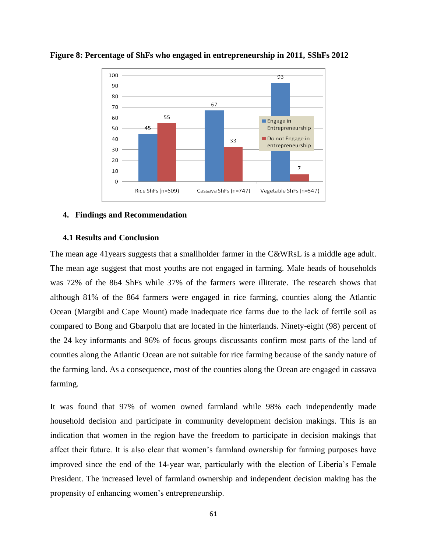

**Figure 8: Percentage of ShFs who engaged in entrepreneurship in 2011, SShFs 2012**

#### <span id="page-60-0"></span>**4. Findings and Recommendation**

#### <span id="page-60-1"></span>**4.1 Results and Conclusion**

The mean age 41 years suggests that a smallholder farmer in the C&WRsL is a middle age adult. The mean age suggest that most youths are not engaged in farming. Male heads of households was 72% of the 864 ShFs while 37% of the farmers were illiterate. The research shows that although 81% of the 864 farmers were engaged in rice farming, counties along the Atlantic Ocean (Margibi and Cape Mount) made inadequate rice farms due to the lack of fertile soil as compared to Bong and Gbarpolu that are located in the hinterlands. Ninety-eight (98) percent of the 24 key informants and 96% of focus groups discussants confirm most parts of the land of counties along the Atlantic Ocean are not suitable for rice farming because of the sandy nature of the farming land. As a consequence, most of the counties along the Ocean are engaged in cassava farming.

It was found that 97% of women owned farmland while 98% each independently made household decision and participate in community development decision makings. This is an indication that women in the region have the freedom to participate in decision makings that affect their future. It is also clear that women's farmland ownership for farming purposes have improved since the end of the 14-year war, particularly with the election of Liberia's Female President. The increased level of farmland ownership and independent decision making has the propensity of enhancing women's entrepreneurship.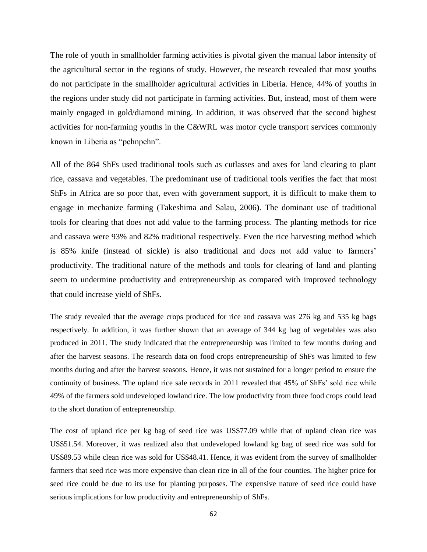The role of youth in smallholder farming activities is pivotal given the manual labor intensity of the agricultural sector in the regions of study. However, the research revealed that most youths do not participate in the smallholder agricultural activities in Liberia. Hence, 44% of youths in the regions under study did not participate in farming activities. But, instead, most of them were mainly engaged in gold/diamond mining. In addition, it was observed that the second highest activities for non-farming youths in the C&WRL was motor cycle transport services commonly known in Liberia as "pehnpehn".

All of the 864 ShFs used traditional tools such as cutlasses and axes for land clearing to plant rice, cassava and vegetables. The predominant use of traditional tools verifies the fact that most ShFs in Africa are so poor that, even with government support, it is difficult to make them to engage in mechanize farming (Takeshima and Salau, 2006**)**. The dominant use of traditional tools for clearing that does not add value to the farming process. The planting methods for rice and cassava were 93% and 82% traditional respectively. Even the rice harvesting method which is 85% knife (instead of sickle) is also traditional and does not add value to farmers' productivity. The traditional nature of the methods and tools for clearing of land and planting seem to undermine productivity and entrepreneurship as compared with improved technology that could increase yield of ShFs.

The study revealed that the average crops produced for rice and cassava was 276 kg and 535 kg bags respectively. In addition, it was further shown that an average of 344 kg bag of vegetables was also produced in 2011. The study indicated that the entrepreneurship was limited to few months during and after the harvest seasons. The research data on food crops entrepreneurship of ShFs was limited to few months during and after the harvest seasons. Hence, it was not sustained for a longer period to ensure the continuity of business. The upland rice sale records in 2011 revealed that 45% of ShFs' sold rice while 49% of the farmers sold undeveloped lowland rice. The low productivity from three food crops could lead to the short duration of entrepreneurship.

The cost of upland rice per kg bag of seed rice was US\$77.09 while that of upland clean rice was US\$51.54. Moreover, it was realized also that undeveloped lowland kg bag of seed rice was sold for US\$89.53 while clean rice was sold for US\$48.41. Hence, it was evident from the survey of smallholder farmers that seed rice was more expensive than clean rice in all of the four counties. The higher price for seed rice could be due to its use for planting purposes. The expensive nature of seed rice could have serious implications for low productivity and entrepreneurship of ShFs.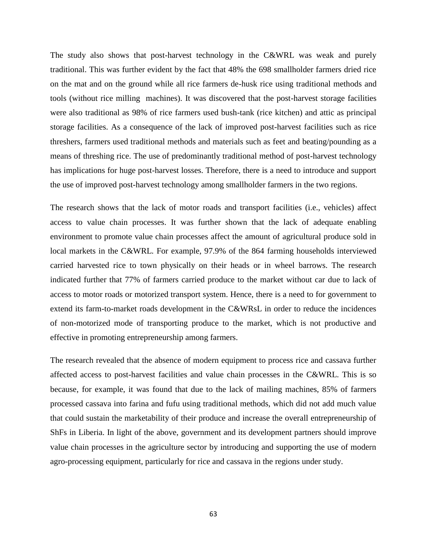The study also shows that post-harvest technology in the C&WRL was weak and purely traditional. This was further evident by the fact that 48% the 698 smallholder farmers dried rice on the mat and on the ground while all rice farmers de-husk rice using traditional methods and tools (without rice milling machines). It was discovered that the post-harvest storage facilities were also traditional as 98% of rice farmers used bush-tank (rice kitchen) and attic as principal storage facilities. As a consequence of the lack of improved post-harvest facilities such as rice threshers, farmers used traditional methods and materials such as feet and beating/pounding as a means of threshing rice. The use of predominantly traditional method of post-harvest technology has implications for huge post-harvest losses. Therefore, there is a need to introduce and support the use of improved post-harvest technology among smallholder farmers in the two regions.

The research shows that the lack of motor roads and transport facilities (i.e., vehicles) affect access to value chain processes. It was further shown that the lack of adequate enabling environment to promote value chain processes affect the amount of agricultural produce sold in local markets in the C&WRL. For example, 97.9% of the 864 farming households interviewed carried harvested rice to town physically on their heads or in wheel barrows. The research indicated further that 77% of farmers carried produce to the market without car due to lack of access to motor roads or motorized transport system. Hence, there is a need to for government to extend its farm-to-market roads development in the C&WRsL in order to reduce the incidences of non-motorized mode of transporting produce to the market, which is not productive and effective in promoting entrepreneurship among farmers.

The research revealed that the absence of modern equipment to process rice and cassava further affected access to post-harvest facilities and value chain processes in the C&WRL. This is so because, for example, it was found that due to the lack of mailing machines, 85% of farmers processed cassava into farina and fufu using traditional methods, which did not add much value that could sustain the marketability of their produce and increase the overall entrepreneurship of ShFs in Liberia. In light of the above, government and its development partners should improve value chain processes in the agriculture sector by introducing and supporting the use of modern agro-processing equipment, particularly for rice and cassava in the regions under study.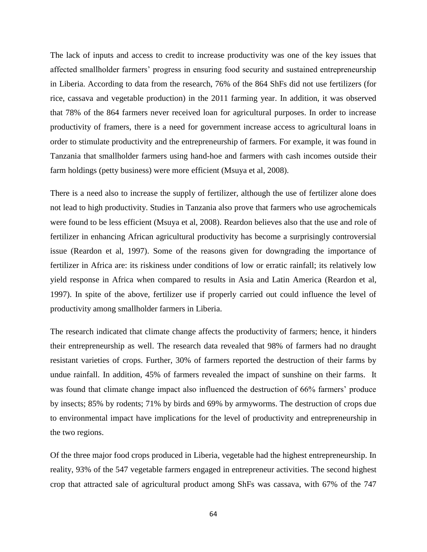The lack of inputs and access to credit to increase productivity was one of the key issues that affected smallholder farmers' progress in ensuring food security and sustained entrepreneurship in Liberia. According to data from the research, 76% of the 864 ShFs did not use fertilizers (for rice, cassava and vegetable production) in the 2011 farming year. In addition, it was observed that 78% of the 864 farmers never received loan for agricultural purposes. In order to increase productivity of framers, there is a need for government increase access to agricultural loans in order to stimulate productivity and the entrepreneurship of farmers. For example, it was found in Tanzania that smallholder farmers using hand-hoe and farmers with cash incomes outside their farm holdings (petty business) were more efficient (Msuya et al, 2008).

There is a need also to increase the supply of fertilizer, although the use of fertilizer alone does not lead to high productivity. Studies in Tanzania also prove that farmers who use agrochemicals were found to be less efficient (Msuya et al, 2008). Reardon believes also that the use and role of fertilizer in enhancing African agricultural productivity has become a surprisingly controversial issue (Reardon et al, 1997). Some of the reasons given for downgrading the importance of fertilizer in Africa are: its riskiness under conditions of low or erratic rainfall; its relatively low yield response in Africa when compared to results in Asia and Latin America (Reardon et al, 1997). In spite of the above, fertilizer use if properly carried out could influence the level of productivity among smallholder farmers in Liberia.

The research indicated that climate change affects the productivity of farmers; hence, it hinders their entrepreneurship as well. The research data revealed that 98% of farmers had no draught resistant varieties of crops. Further, 30% of farmers reported the destruction of their farms by undue rainfall. In addition, 45% of farmers revealed the impact of sunshine on their farms. It was found that climate change impact also influenced the destruction of 66% farmers' produce by insects; 85% by rodents; 71% by birds and 69% by armyworms. The destruction of crops due to environmental impact have implications for the level of productivity and entrepreneurship in the two regions.

Of the three major food crops produced in Liberia, vegetable had the highest entrepreneurship. In reality, 93% of the 547 vegetable farmers engaged in entrepreneur activities. The second highest crop that attracted sale of agricultural product among ShFs was cassava, with 67% of the 747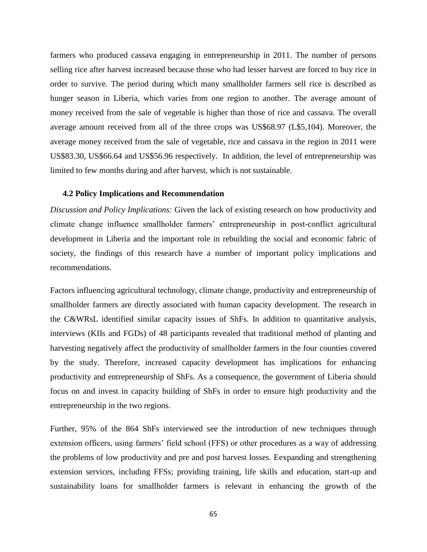farmers who produced cassava engaging in entrepreneurship in 2011. The number of persons selling rice after harvest increased because those who had lesser harvest are forced to buy rice in order to survive. The period during which many smallholder farmers sell rice is described as hunger season in Liberia, which varies from one region to another. The average amount of money received from the sale of vegetable is higher than those of rice and cassava. The overall average amount received from all of the three crops was US\$68.97 (L\$5,104). Moreover, the average money received from the sale of vegetable, rice and cassava in the region in 2011 were US\$83.30, US\$66.64 and US\$56.96 respectively. In addition, the level of entrepreneurship was limited to few months during and after harvest, which is not sustainable.

### <span id="page-64-0"></span>**4.2 Policy Implications and Recommendation**

*Discussion and Policy Implications:* Given the lack of existing research on how productivity and climate change influence smallholder farmers' entrepreneurship in post-conflict agricultural development in Liberia and the important role in rebuilding the social and economic fabric of society, the findings of this research have a number of important policy implications and recommendations.

Factors influencing agricultural technology, climate change, productivity and entrepreneurship of smallholder farmers are directly associated with human capacity development. The research in the C&WRsL identified similar capacity issues of ShFs. In addition to quantitative analysis, interviews (KIIs and FGDs) of 48 participants revealed that traditional method of planting and harvesting negatively affect the productivity of smallholder farmers in the four counties covered by the study. Therefore, increased capacity development has implications for enhancing productivity and entrepreneurship of ShFs. As a consequence, the government of Liberia should focus on and invest in capacity building of ShFs in order to ensure high productivity and the entrepreneurship in the two regions.

Further, 95% of the 864 ShFs interviewed see the introduction of new techniques through extension officers, using farmers' field school (FFS) or other procedures as a way of addressing the problems of low productivity and pre and post harvest losses. Eexpanding and strengthening extension services, including FFSs; providing training, life skills and education, start-up and sustainability loans for smallholder farmers is relevant in enhancing the growth of the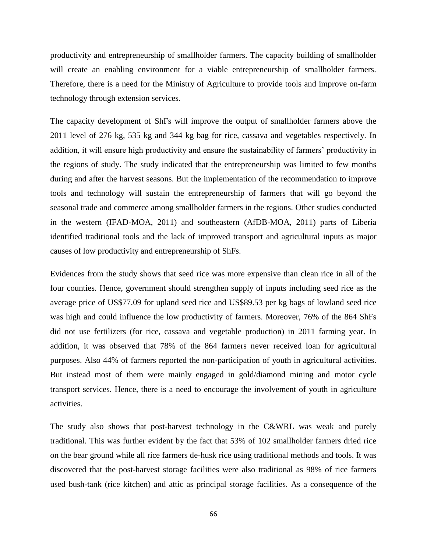productivity and entrepreneurship of smallholder farmers. The capacity building of smallholder will create an enabling environment for a viable entrepreneurship of smallholder farmers. Therefore, there is a need for the Ministry of Agriculture to provide tools and improve on-farm technology through extension services.

The capacity development of ShFs will improve the output of smallholder farmers above the 2011 level of 276 kg, 535 kg and 344 kg bag for rice, cassava and vegetables respectively. In addition, it will ensure high productivity and ensure the sustainability of farmers' productivity in the regions of study. The study indicated that the entrepreneurship was limited to few months during and after the harvest seasons. But the implementation of the recommendation to improve tools and technology will sustain the entrepreneurship of farmers that will go beyond the seasonal trade and commerce among smallholder farmers in the regions. Other studies conducted in the western (IFAD-MOA, 2011) and southeastern (AfDB-MOA, 2011) parts of Liberia identified traditional tools and the lack of improved transport and agricultural inputs as major causes of low productivity and entrepreneurship of ShFs.

Evidences from the study shows that seed rice was more expensive than clean rice in all of the four counties. Hence, government should strengthen supply of inputs including seed rice as the average price of US\$77.09 for upland seed rice and US\$89.53 per kg bags of lowland seed rice was high and could influence the low productivity of farmers. Moreover, 76% of the 864 ShFs did not use fertilizers (for rice, cassava and vegetable production) in 2011 farming year. In addition, it was observed that 78% of the 864 farmers never received loan for agricultural purposes. Also 44% of farmers reported the non-participation of youth in agricultural activities. But instead most of them were mainly engaged in gold/diamond mining and motor cycle transport services. Hence, there is a need to encourage the involvement of youth in agriculture activities.

The study also shows that post-harvest technology in the C&WRL was weak and purely traditional. This was further evident by the fact that 53% of 102 smallholder farmers dried rice on the bear ground while all rice farmers de-husk rice using traditional methods and tools. It was discovered that the post-harvest storage facilities were also traditional as 98% of rice farmers used bush-tank (rice kitchen) and attic as principal storage facilities. As a consequence of the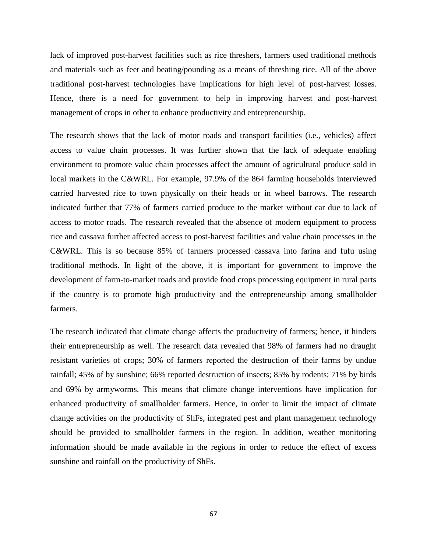lack of improved post-harvest facilities such as rice threshers, farmers used traditional methods and materials such as feet and beating/pounding as a means of threshing rice. All of the above traditional post-harvest technologies have implications for high level of post-harvest losses. Hence, there is a need for government to help in improving harvest and post-harvest management of crops in other to enhance productivity and entrepreneurship.

The research shows that the lack of motor roads and transport facilities (i.e., vehicles) affect access to value chain processes. It was further shown that the lack of adequate enabling environment to promote value chain processes affect the amount of agricultural produce sold in local markets in the C&WRL. For example, 97.9% of the 864 farming households interviewed carried harvested rice to town physically on their heads or in wheel barrows. The research indicated further that 77% of farmers carried produce to the market without car due to lack of access to motor roads. The research revealed that the absence of modern equipment to process rice and cassava further affected access to post-harvest facilities and value chain processes in the C&WRL. This is so because 85% of farmers processed cassava into farina and fufu using traditional methods. In light of the above, it is important for government to improve the development of farm-to-market roads and provide food crops processing equipment in rural parts if the country is to promote high productivity and the entrepreneurship among smallholder farmers.

The research indicated that climate change affects the productivity of farmers; hence, it hinders their entrepreneurship as well. The research data revealed that 98% of farmers had no draught resistant varieties of crops; 30% of farmers reported the destruction of their farms by undue rainfall; 45% of by sunshine; 66% reported destruction of insects; 85% by rodents; 71% by birds and 69% by armyworms. This means that climate change interventions have implication for enhanced productivity of smallholder farmers. Hence, in order to limit the impact of climate change activities on the productivity of ShFs, integrated pest and plant management technology should be provided to smallholder farmers in the region. In addition, weather monitoring information should be made available in the regions in order to reduce the effect of excess sunshine and rainfall on the productivity of ShFs.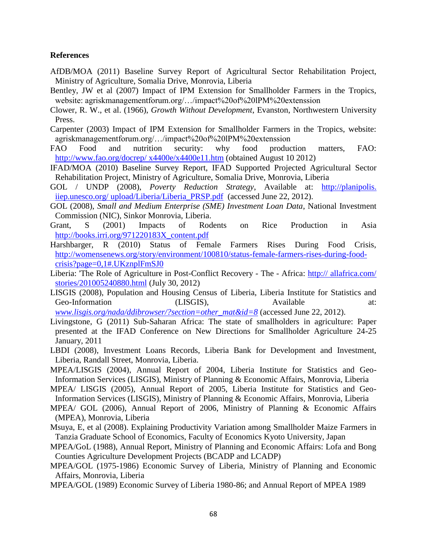## <span id="page-67-0"></span>**References**

- AfDB/MOA (2011) Baseline Survey Report of Agricultural Sector Rehabilitation Project, Ministry of Agriculture, Somalia Drive, Monrovia, Liberia
- Bentley, JW et al (2007) Impact of IPM Extension for Smallholder Farmers in the Tropics, website: agriskmanagementforum.org/…/impact%20of%20lPM%20extenssion
- Clower, R. W., et al. (1966), *Growth Without Development*, Evanston, Northwestern University Press.
- Carpenter (2003) Impact of IPM Extension for Smallholder Farmers in the Tropics, website: agriskmanagementforum.org/…/impact%20of%20lPM%20extenssion
- FAO Food and nutrition security: why food production matters, FAO: [http://www.fao.org/docrep/ x4400e/x4400e11.htm](http://www.fao.org/docrep/%20x4400e/x4400e11.htm) (obtained August 10 2012)
- IFAD/MOA (2010) Baseline Survey Report, IFAD Supported Projected Agricultural Sector Rehabilitation Project, Ministry of Agriculture, Somalia Drive, Monrovia, Liberia
- GOL / UNDP (2008), *Poverty Reduction Strategy*, Available at: http://planipolis. iiep.unesco.org/ upload/Liberia/Liberia\_PRSP.pdf(accessed June 22, 2012).
- GOL (2008), *Small and Medium Enterprise (SME) Investment Loan Data*, National Investment Commission (NIC), Sinkor Monrovia, Liberia.
- Grant, S (2001) Impacts of Rodents on Rice Production in Asia [http://books.irri.org/971220183X\\_content.pdf](http://books.irri.org/971220183X_content.pdf)
- Harshbarger, R (2010) Status of Female Farmers Rises During Food Crisis, [http://womensenews.org/story/environment/100810/status-female-farmers-rises-during-food](http://womensenews.org/story/environment/100810/status-female-farmers-rises-during-food-crisis?page=0,1#.UKznplFmSJ0)[crisis?page=0,1#.UKznplFmSJ0](http://womensenews.org/story/environment/100810/status-female-farmers-rises-during-food-crisis?page=0,1#.UKznplFmSJ0)
- Liberia: 'The Role of Agriculture in Post-Conflict Recovery The Africa: http:// allafrica.com/ stories/201005240880.html (July 30, 2012)
- LISGIS (2008), Population and Housing Census of Liberia, Liberia Institute for Statistics and Geo-Information (LISGIS), Available at: *[www.lisgis.org/nada/ddibrowser/?section=other\\_mat&id=8](http://www.lisgis.org/nada/ddibrowser/?section=other_mat&id=8)* (accessed June 22, 2012).
- Livingstone, G (2011) Sub-Saharan Africa: The state of smallholders in agriculture: Paper presented at the IFAD Conference on New Directions for Smallholder Agriculture 24-25 January, 2011
- LBDI (2008), Investment Loans Records, Liberia Bank for Development and Investment, Liberia, Randall Street, Monrovia, Liberia.
- MPEA/LISGIS (2004), Annual Report of 2004, Liberia Institute for Statistics and Geo-Information Services (LISGIS), Ministry of Planning & Economic Affairs, Monrovia, Liberia
- MPEA/ LISGIS (2005), Annual Report of 2005, Liberia Institute for Statistics and Geo-Information Services (LISGIS), Ministry of Planning & Economic Affairs, Monrovia, Liberia
- MPEA/ GOL (2006), Annual Report of 2006, Ministry of Planning & Economic Affairs (MPEA), Monrovia, Liberia
- Msuya, E, et al (2008). Explaining Productivity Variation among Smallholder Maize Farmers in Tanzia Graduate School of Economics, Faculty of Economics Kyoto University, Japan
- MPEA/GoL (1988), Annual Report, Ministry of Planning and Economic Affairs: Lofa and Bong Counties Agriculture Development Projects (BCADP and LCADP)
- MPEA/GOL (1975-1986) Economic Survey of Liberia, Ministry of Planning and Economic Affairs, Monrovia, Liberia
- MPEA/GOL (1989) Economic Survey of Liberia 1980-86; and Annual Report of MPEA 1989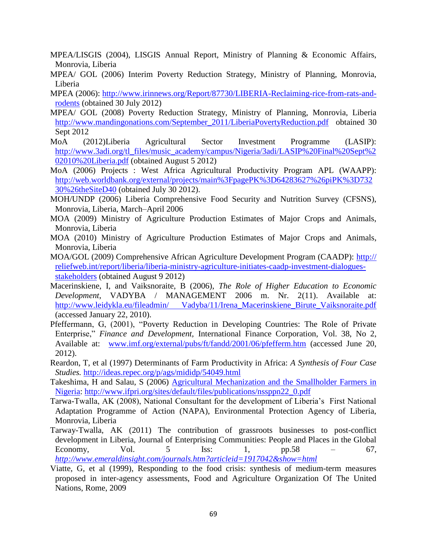MPEA/LISGIS (2004), LISGIS Annual Report, Ministry of Planning & Economic Affairs, Monrovia, Liberia

- MPEA/ GOL (2006) Interim Poverty Reduction Strategy, Ministry of Planning, Monrovia, Liberia
- MPEA (2006): [http://www.irinnews.org/Report/87730/LIBERIA-Reclaiming-rice-from-rats-and](http://www.irinnews.org/Report/87730/LIBERIA-Reclaiming-rice-from-rats-and-rodents)[rodents](http://www.irinnews.org/Report/87730/LIBERIA-Reclaiming-rice-from-rats-and-rodents) (obtained 30 July 2012)
- MPEA/ GOL (2008) Poverty Reduction Strategy, Ministry of Planning, Monrovia, Liberia [http://www.mandingonations.com/September\\_2011/LiberiaPovertyReduction.pdf](http://www.mandingonations.com/September_2011/LiberiaPovertyReduction.pdf) obtained 30 Sept 2012
- MoA (2012)Liberia Agricultural Sector Investment Programme (LASIP): [http://www.3adi.org/tl\\_files/music\\_academy/campus/Nigeria/3adi/LASIP%20Final%20Sept%2](http://www.3adi.org/tl_files/music_academy/campus/Nigeria/3adi/LASIP%20Final%20Sept%202010%20Liberia.pdf) [02010%20Liberia.pdf](http://www.3adi.org/tl_files/music_academy/campus/Nigeria/3adi/LASIP%20Final%20Sept%202010%20Liberia.pdf) (obtained August 5 2012)
- MoA (2006) Projects : West Africa Agricultural Productivity Program APL (WAAPP): [http://web.worldbank.org/external/projects/main%3FpagePK%3D64283627%26piPK%3D732](http://web.worldbank.org/external/projects/main%3FpagePK%3D64283627%26piPK%3D73230%26theSiteD40) [30%26theSiteD40](http://web.worldbank.org/external/projects/main%3FpagePK%3D64283627%26piPK%3D73230%26theSiteD40) (obtained July 30 2012).
- MOH/UNDP (2006) Liberia Comprehensive Food Security and Nutrition Survey (CFSNS), Monrovia, Liberia, March–April 2006
- MOA (2009) Ministry of Agriculture Production Estimates of Major Crops and Animals, Monrovia, Liberia
- MOA (2010) Ministry of Agriculture Production Estimates of Major Crops and Animals, Monrovia, Liberia
- MOA/GOL (2009) Comprehensive African Agriculture Development Program (CAADP): http:// reliefweb.int/report/liberia/liberia-ministry-agriculture-initiates-caadp-investment-dialoguesstakeholders (obtained August 9 2012)
- Macerinskiene, I, and Vaiksnoraite, B (2006), *The Role of Higher Education to Economic Development*, VADYBA / MANAGEMENT 2006 m. Nr. 2(11). Available at: http://www.leidykla.eu/fileadmin/ Vadyba/11/Irena Macerinskiene Birute Vaiksnoraite.pdf (accessed January 22, 2010).
- Pfeffermann, G, (2001), "Poverty Reduction in Developing Countries: The Role of Private Enterprise," *Finance and Development,* International Finance Corporation, Vol. 38, No 2, Available at: [www.imf.org/external/pubs/ft/fandd/2001/06/pfefferm.htm](http://www.imf.org/external/pubs/ft/fandd/2001/06/pfefferm.htm) (accessed June 20, 2012).
- Reardon, T, et al (1997) Determinants of Farm Productivity in Africa: *A Synthesis of Four Case Studies.* <http://ideas.repec.org/p/ags/mididp/54049.html>
- Takeshima, H and Salau, S (2006) [Agricultural Mechanization and the Smallholder Farmers in](http://www.ifpri.org/sites/default/files/publications/nssppn22_0.pdf)  [Nigeria: http://www.ifpri.org/sites/default/files/publications/nssppn22\\_0.pdf](http://www.ifpri.org/sites/default/files/publications/nssppn22_0.pdf)
- Tarwa-Twalla, AK (2008), National Consultant for the development of Liberia's First National Adaptation Programme of Action (NAPA), Environmental Protection Agency of Liberia, Monrovia, Liberia
- Tarway-Twalla, AK (2011) The contribution of grassroots businesses to post-conflict development in Liberia, Journal of Enterprising Communities: People and Places in the Global Economy, Vol.  $5$  Iss:  $1,$  pp.58 –  $67,$ *<http://www.emeraldinsight.com/journals.htm?articleid=1917042&show=html>*
- Viatte, G, et al (1999), Responding to the food crisis: synthesis of medium-term measures proposed in inter-agency assessments, Food and Agriculture Organization Of The United Nations, Rome, 2009